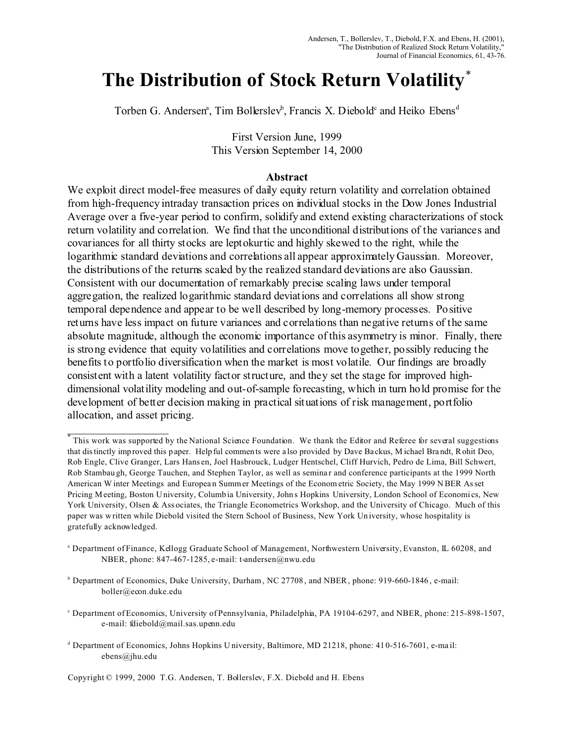# **The Distribution of Stock Return Volatility**\*

Torben G. Andersen<sup>a</sup>, Tim Bollerslev<sup>b</sup>, Francis X. Diebold<sup>c</sup> and Heiko Ebens<sup>d</sup>

First Version June, 1999 This Version September 14, 2000

## **Abstract**

We exploit direct model-free measures of daily equity return volatility and correlation obtained from high-frequency intraday transaction prices on individual stocks in the Dow Jones Industrial Average over a five-year period to confirm, solidify and extend existing characterizations of stock return volatility and correlation. We find that the unconditional distributions of the variances and covariances for all thirty stocks are leptokurtic and highly skewed to the right, while the logarithmic standard deviations and correlations all appear approximately Gaussian. Moreover, the distributions of the returns scaled by the realized standard deviations are also Gaussian. Consistent with our documentation of remarkably precise scaling laws under temporal aggregation, the realized logarithmic standard deviations and correlations all show strong temporal dependence and appear to be well described by long-memory processes. Positive returns have less impact on future variances and correlations than negative returns of the same absolute magnitude, although the economic importance of this asymmetry is minor. Finally, there is strong evidence that equity volatilities and correlations move together, possibly reducing the benefits to portfolio diversification when the market is most volatile. Our findings are broadly consistent with a latent volatility factor structure, and they set the stage for improved highdimensional volatility modeling and out-of-sample forecasting, which in turn hold promise for the development of better decision making in practical situations of risk management, portfolio allocation, and asset pricing.

Copyright © 1999, 2000 T.G. Andersen, T. Bollerslev, F.X. Diebold and H. Ebens

 $\mathcal{L}$  , we have the set of the set of the set of the set of the set of the set of the set of the set of the set of the set of the set of the set of the set of the set of the set of the set of the set of the set of the

<sup>&</sup>lt;sup>\*</sup> This work was supported by the National Science Foundation. We thank the Editor and Referee for several suggestions that dis tinctly improved this p aper. Help ful commen ts were also provided by Dave Backus, M ichael Bra ndt, Rohit Deo, Rob Engle, Clive Granger, Lars Hansen, Joel Hasbrouck, Ludger Hentschel, Cliff Hurvich, Pedro de Lima, Bill Schwert, Rob Stambaugh, George Tauchen, and Stephen Taylor, as well as seminar and conference participants at the 1999 North American W inter Meetings and European Summ er Meetings of the Econom etric Society, the May 1999 N BER As set Pricing Meeting, Boston University, Columbia University, Johns Hopkins University, London School of Economics, New York University, Olsen & Ass ociates, the Triangle Econometrics Workshop, and the University of Chicago. Much of this paper was written while Diebold visited the Stern School of Business, New York University, whose hospitality is gratefully acknowledged.

a Department of Finance, Kellogg Graduate School of Management, Northwestern University, Evanston, IL 60208, and NBER, phone: 847-467-1285, e-mail: t-andersen@nwu.edu

<sup>&</sup>lt;sup>b</sup> Department of Economics, Duke University, Durham, NC 27708, and NBER, phone: 919-660-1846, e-mail: boller@econ.duke.edu

c Department of Economics, University of Pennsylvania, Philadelphia, PA 19104-6297, and NBER, phone: 215-898-1507, e-mail: fdiebold@mail.sas.upenn.edu

d Department of Economics, Johns Hopkins U niversity, Baltimore, MD 21218, phone: 410-516-7601, e-mail: ebens@jhu.edu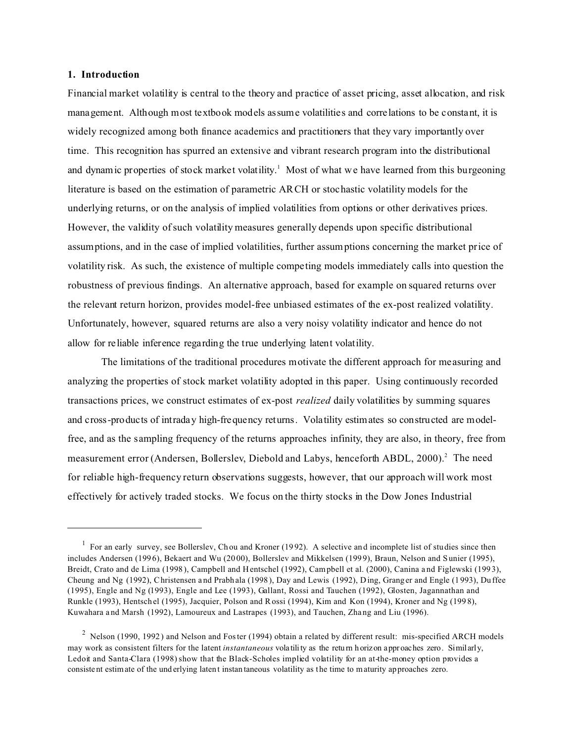#### **1. Introduction**

Financial market volatility is central to the theory and practice of asset pricing, asset allocation, and risk management. Although most textbook models assume volatilities and correlations to be constant, it is widely recognized among both finance academics and practitioners that they vary importantly over time. This recognition has spurred an extensive and vibrant research program into the distributional and dynamic properties of stock market volatility.<sup>1</sup> Most of what we have learned from this burgeoning literature is based on the estimation of parametric ARCH or stochastic volatility models for the underlying returns, or on the analysis of implied volatilities from options or other derivatives prices. However, the validity of such volatility measures generally depends upon specific distributional assumptions, and in the case of implied volatilities, further assumptions concerning the market price of volatility risk. As such, the existence of multiple competing models immediately calls into question the robustness of previous findings. An alternative approach, based for example on squared returns over the relevant return horizon, provides model-free unbiased estimates of the ex-post realized volatility. Unfortunately, however, squared returns are also a very noisy volatility indicator and hence do not allow for reliable inference regarding the true underlying latent volatility.

The limitations of the traditional procedures motivate the different approach for measuring and analyzing the properties of stock market volatility adopted in this paper. Using continuously recorded transactions prices, we construct estimates of ex-post *realized* daily volatilities by summing squares and cross-products of intraday high-frequency returns. Volatility estimates so constructed are modelfree, and as the sampling frequency of the returns approaches infinity, they are also, in theory, free from measurement error (Andersen, Bollerslev, Diebold and Labys, henceforth ABDL, 2000).<sup>2</sup> The need for reliable high-frequency return observations suggests, however, that our approach will work most effectively for actively traded stocks. We focus on the thirty stocks in the Dow Jones Industrial

<sup>&</sup>lt;sup>1</sup> For an early survey, see Bollerslev, Chou and Kroner (1992). A selective and incomplete list of studies since then includes Andersen (1996), Bekaert and Wu (2000), Bollerslev and Mikkelsen (1999), Braun, Nelson and Sunier (1995), Breidt, Crato and de Lima (1998 ), Campbell and Hentschel (1992), Campbell et al. (2000), Canina a nd Figlewski (199 3), Cheung and Ng (1992), Christensen a nd Prabh ala (1998 ), Day and Lewis (1992), Ding, Grang er and Engle (1 993), Du ffee (1995), Engle and Ng (1993), Engle and Lee (1993), Gallant, Rossi and Tauchen (1992), Glosten, Jagannathan and Runkle (1993), Hentschel (1995), Jacquier, Polson and Rossi (1994), Kim and Kon (1994), Kroner and Ng (1998), Kuwahara a nd Marsh (1992), Lamoureux and Lastrapes (1993), and Tauchen, Zha ng and Liu (1996).

<sup>&</sup>lt;sup>2</sup> Nelson (1990, 1992) and Nelson and Foster (1994) obtain a related by different result: mis-specified ARCH models may work as consistent filters for the latent *instantaneous* vola tility as the retu rn horizon approaches zero. Simil arly, Ledoit and Santa-Clara (1998) show that the Black-Scholes implied volatility for an at-the-money option provides a consistent estimate of the und erlying latent instantaneous volatility as the time to maturity approaches zero.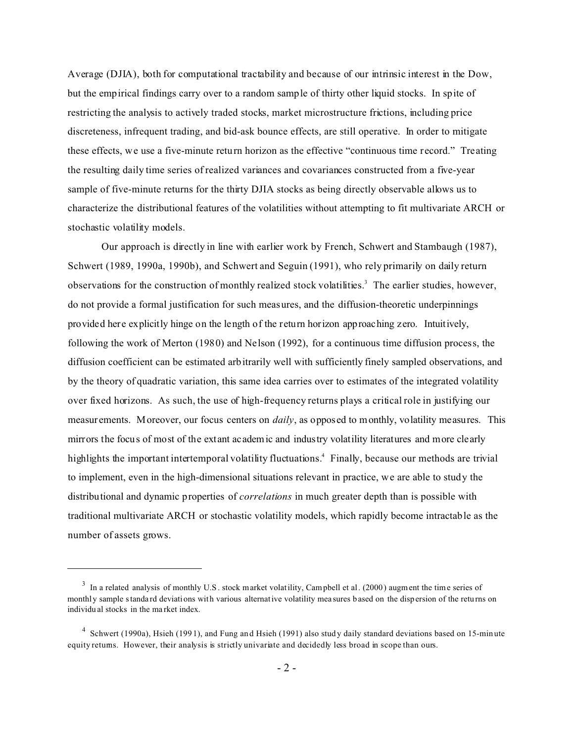Average (DJIA), both for computational tractability and because of our intrinsic interest in the Dow, but the empirical findings carry over to a random sample of thirty other liquid stocks. In spite of restricting the analysis to actively traded stocks, market microstructure frictions, including price discreteness, infrequent trading, and bid-ask bounce effects, are still operative. In order to mitigate these effects, we use a five-minute return horizon as the effective "continuous time record." Treating the resulting daily time series of realized variances and covariances constructed from a five-year sample of five-minute returns for the thirty DJIA stocks as being directly observable allows us to characterize the distributional features of the volatilities without attempting to fit multivariate ARCH or stochastic volatility models.

Our approach is directly in line with earlier work by French, Schwert and Stambaugh (1987), Schwert (1989, 1990a, 1990b), and Schwert and Seguin (1991), who rely primarily on daily return observations for the construction of monthly realized stock volatilities.<sup>3</sup> The earlier studies, however, do not provide a formal justification for such measures, and the diffusion-theoretic underpinnings provided here explicitly hinge on the length of the return horizon approaching zero. Intuitively, following the work of Merton (1980) and Nelson (1992), for a continuous time diffusion process, the diffusion coefficient can be estimated arbitrarily well with sufficiently finely sampled observations, and by the theory of quadratic variation, this same idea carries over to estimates of the integrated volatility over fixed horizons. As such, the use of high-frequency returns plays a critical role in justifying our measurements. Moreover, our focus centers on *daily*, as oppos ed to monthly, volatility measures. This mirrors the focus of most of the extant academic and industry volatility literatures and more clearly highlights the important intertemporal volatility fluctuations.<sup>4</sup> Finally, because our methods are trivial to implement, even in the high-dimensional situations relevant in practice, we are able to study the distributional and dynamic properties of *correlations* in much greater depth than is possible with traditional multivariate ARCH or stochastic volatility models, which rapidly become intractable as the number of assets grows.

 $3$  In a related analysis of monthly U.S. stock market volatility, Campbell et al. (2000) augment the time series of monthly sample standa rd deviations with various alternative volatility mea sures b ased on the disp ersion of the retu rns on individu al stocks in the ma rket index.

<sup>&</sup>lt;sup>4</sup> Schwert (1990a), Hsieh (1991), and Fung and Hsieh (1991) also study daily standard deviations based on 15-minute equity returns. However, their analysis is strictly univariate and decidedly less broad in scope than ours.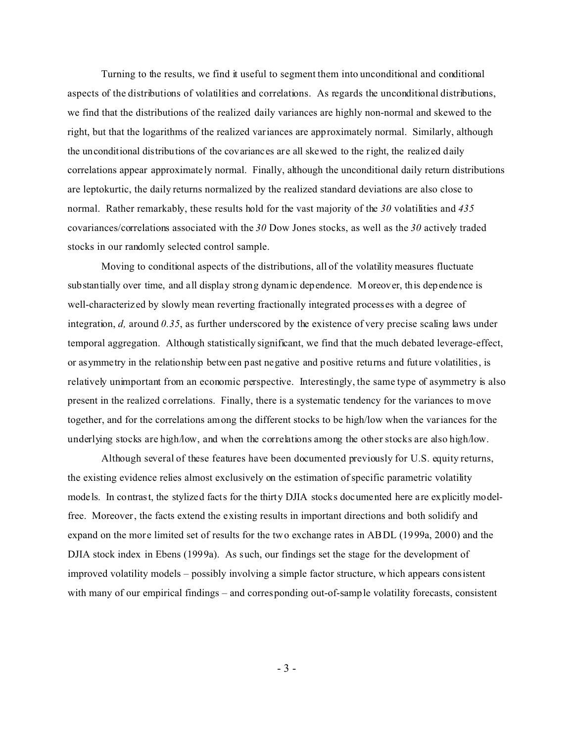Turning to the results, we find it useful to segment them into unconditional and conditional aspects of the distributions of volatilities and correlations. As regards the unconditional distributions, we find that the distributions of the realized daily variances are highly non-normal and skewed to the right, but that the logarithms of the realized variances are approximately normal. Similarly, although the unconditional distributions of the covariances are all skewed to the right, the realized daily correlations appear approximately normal. Finally, although the unconditional daily return distributions are leptokurtic, the daily returns normalized by the realized standard deviations are also close to normal. Rather remarkably, these results hold for the vast majority of the *30* volatilities and *435* covariances/correlations associated with the *30* Dow Jones stocks, as well as the *30* actively traded stocks in our randomly selected control sample.

Moving to conditional aspects of the distributions, all of the volatility measures fluctuate substantially over time, and all display strong dynamic dependence. Moreover, this dependence is well-characterized by slowly mean reverting fractionally integrated processes with a degree of integration, *d,* around *0.35*, as further underscored by the existence of very precise scaling laws under temporal aggregation. Although statistically significant, we find that the much debated leverage-effect, or asymmetry in the relationship between past negative and positive returns and future volatilities, is relatively unimportant from an economic perspective. Interestingly, the same type of asymmetry is also present in the realized correlations. Finally, there is a systematic tendency for the variances to move together, and for the correlations among the different stocks to be high/low when the variances for the underlying stocks are high/low, and when the correlations among the other stocks are also high/low.

Although several of these features have been documented previously for U.S. equity returns, the existing evidence relies almost exclusively on the estimation of specific parametric volatility models. In contrast, the stylized facts for the thirty DJIA stocks documented here are explicitly modelfree. Moreover, the facts extend the existing results in important directions and both solidify and expand on the more limited set of results for the two exchange rates in ABDL (1999a, 2000) and the DJIA stock index in Ebens (1999a). As such, our findings set the stage for the development of improved volatility models – possibly involving a simple factor structure, which appears consistent with many of our empirical findings – and corresponding out-of-sample volatility forecasts, consistent

- 3 -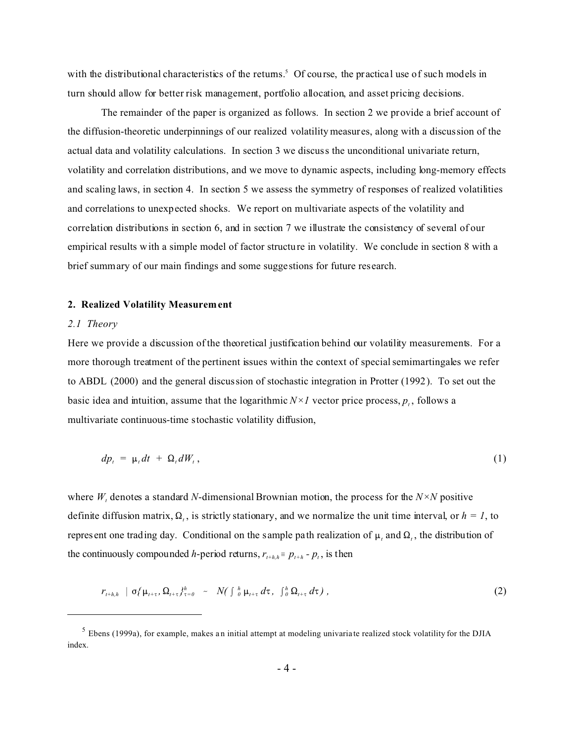with the distributional characteristics of the returns.<sup>5</sup> Of course, the practical use of such models in turn should allow for better risk management, portfolio allocation, and asset pricing decisions.

The remainder of the paper is organized as follows. In section 2 we provide a brief account of the diffusion-theoretic underpinnings of our realized volatility measures, along with a discussion of the actual data and volatility calculations. In section 3 we discuss the unconditional univariate return, volatility and correlation distributions, and we move to dynamic aspects, including long-memory effects and scaling laws, in section 4. In section 5 we assess the symmetry of responses of realized volatilities and correlations to unexpected shocks. We report on multivariate aspects of the volatility and correlation distributions in section 6, and in section 7 we illustrate the consistency of several of our empirical results with a simple model of factor structure in volatility. We conclude in section 8 with a brief summary of our main findings and some suggestions for future research.

## **2. Realized Volatility Measurement**

## *2.1 Theory*

Here we provide a discussion of the theoretical justification behind our volatility measurements. For a more thorough treatment of the pertinent issues within the context of special semimartingales we refer to ABDL (2000) and the general discussion of stochastic integration in Protter (1992). To set out the basic idea and intuition, assume that the logarithmic  $N \times I$  vector price process,  $p_i$ , follows a multivariate continuous-time stochastic volatility diffusion,

$$
dp_t = \mu_t dt + \Omega_t dW_t, \qquad (1)
$$

where *W<sub>t</sub>* denotes a standard *N*-dimensional Brownian motion, the process for the *N*×*N* positive definite diffusion matrix,  $\Omega_t$ , is strictly stationary, and we normalize the unit time interval, or  $h = 1$ , to repres ent one trading day. Conditional on the sample path realization of  $\mu$ , and  $\Omega$ , the distribution of the continuously compounded *h*-period returns,  $r_{t+h,h} = p_{t+h} - p_t$ , is then

$$
r_{t+h,h} \mid \sigma_t^{\prime} \mu_{t+\tau}, \Omega_{t+\tau}^{\prime} \}_{\tau=0}^h \sim N(\int_{0}^{h} \mu_{t+\tau} d\tau, \int_{0}^{h} \Omega_{t+\tau} d\tau), \qquad (2)
$$

 $<sup>5</sup>$  Ebens (1999a), for example, makes an initial attempt at modeling univariate realized stock volatility for the DJIA</sup> index.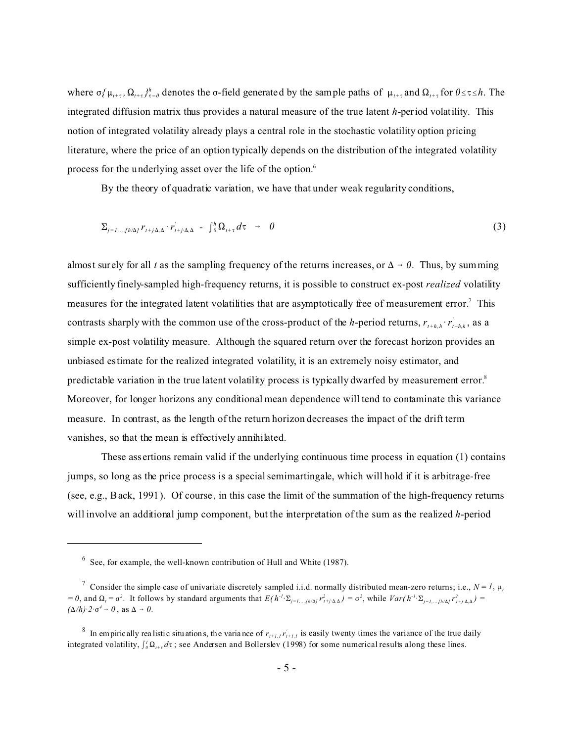where  $\sigma\{\mu_{t+\tau}, \Omega_{t+\tau}\}_{\tau=0}^h$  denotes the  $\sigma$ -field generated by the sample paths of  $\mu_{t+\tau}$  and  $\Omega_{t+\tau}$  for  $0 \le \tau \le h$ . The integrated diffusion matrix thus provides a natural measure of the true latent *h*-period volatility. This notion of integrated volatility already plays a central role in the stochastic volatility option pricing literature, where the price of an option typically depends on the distribution of the integrated volatility process for the underlying asset over the life of the option.<sup>6</sup>

By the theory of quadratic variation, we have that under weak regularity conditions,

$$
\sum_{j=1,\ldots,\lceil h/\Delta\rceil} r_{t+j\Delta,\Delta} \cdot r'_{t+j\Delta,\Delta} - \int_0^h \Omega_{t+\tau} d\tau \to 0 \tag{3}
$$

almost surely for all *t* as the sampling frequency of the returns increases, or  $\Delta \rightarrow 0$ . Thus, by summing sufficiently finely-sampled high-frequency returns, it is possible to construct ex-post *realized* volatility measures for the integrated latent volatilities that are asymptotically free of measurement error.<sup>7</sup> This contrasts sharply with the common use of the cross-product of the *h*-period returns,  $r_{t+h,h}$   $\dot{r_{t+h,h}}$ , as a simple ex-post volatility measure. Although the squared return over the forecast horizon provides an unbiased estimate for the realized integrated volatility, it is an extremely noisy estimator, and predictable variation in the true latent volatility process is typically dwarfed by measurement error.<sup>8</sup> Moreover, for longer horizons any conditional mean dependence will tend to contaminate this variance measure. In contrast, as the length of the return horizon decreases the impact of the drift term vanishes, so that the mean is effectively annihilated.

These assertions remain valid if the underlying continuous time process in equation (1) contains jumps, so long as the price process is a special semimartingale, which will hold if it is arbitrage-free (see, e.g., Back, 1991). Of course, in this case the limit of the summation of the high-frequency returns will involve an additional jump component, but the interpretation of the sum as the realized *h*-period

 $6$  See, for example, the well-known contribution of Hull and White (1987).

<sup>&</sup>lt;sup>7</sup> Consider the simple case of univariate discretely sampled i.i.d. normally distributed mean-zero returns; i.e.,  $N = 1$ ,  $\mu$  $= 0$ , and  $\Omega_i = \sigma^2$ . It follows by standard arguments that  $E(h^{-1} \cdot \Sigma_{j=1,\dots,\lceil h/\Delta \rceil} r^2_{i+j \Delta,\Delta}) = \sigma^2$ , while  $Var(h^{-1} \cdot \Sigma_{j=1,\dots,\lceil h/\Delta \rceil} r^2_{i+j \Delta,\Delta}) =$  $(\Delta/h) \cdot 2 \cdot \sigma^4 \rightarrow 0$ , as  $\Delta \rightarrow 0$ .

<sup>&</sup>lt;sup>8</sup> In empirically realistic situations, the variance of  $r_{t+1,t}r_{t+1,t}$  is easily twenty times the variance of the true daily integrated volatility,  $\int_0^1 \Omega_{t+\tau} d\tau$ ; see Andersen and Bollerslev (1998) for some numerical results along these lines.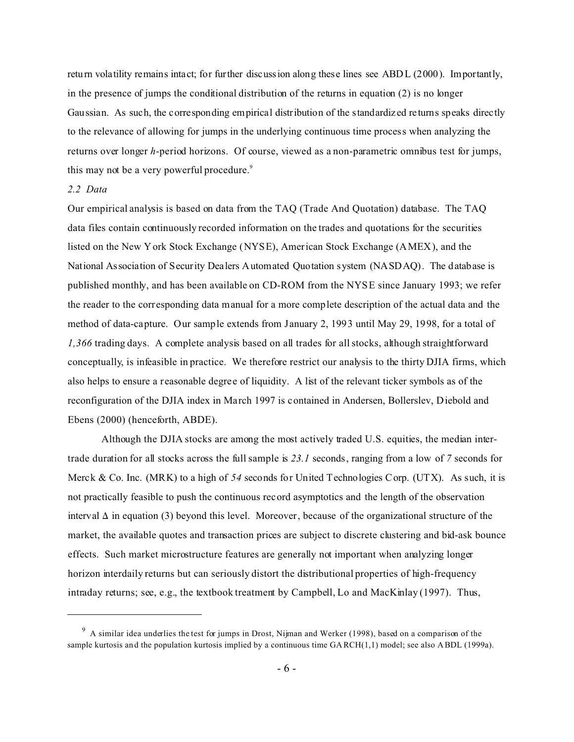return volatility remains intact; for further discussion along thes e lines see ABDL (2000). Importantly, in the presence of jumps the conditional distribution of the returns in equation (2) is no longer Gaussian. As such, the corresponding empirical distribution of the standardiz ed returns speaks directly to the relevance of allowing for jumps in the underlying continuous time process when analyzing the returns over longer *h*-period horizons. Of course, viewed as a non-parametric omnibus test for jumps, this may not be a very powerful procedure.<sup>9</sup>

#### *2.2 Data*

Our empirical analysis is based on data from the TAQ (Trade And Quotation) database. The TAQ data files contain continuously recorded information on the trades and quotations for the securities listed on the New York Stock Exchange (NYSE), American Stock Exchange (AMEX), and the National Association of Security Dealers Automated Quotation system (NASDAQ). The database is published monthly, and has been available on CD-ROM from the NYSE since January 1993; we refer the reader to the corresponding data manual for a more complete description of the actual data and the method of data-capture. Our sample extends from January 2, 1993 until May 29, 1998, for a total of *1,366* trading days. A complete analysis based on all trades for all stocks, although straightforward conceptually, is infeasible in practice. We therefore restrict our analysis to the thirty DJIA firms, which also helps to ensure a reasonable degree of liquidity. A list of the relevant ticker symbols as of the reconfiguration of the DJIA index in March 1997 is contained in Andersen, Bollerslev, Diebold and Ebens (2000) (henceforth, ABDE).

Although the DJIA stocks are among the most actively traded U.S. equities, the median intertrade duration for all stocks across the full sample is *23.1* seconds, ranging from a low of *7* seconds for Merck & Co. Inc. (MRK) to a high of *54* seconds for United Technologies Corp. (UTX). As such, it is not practically feasible to push the continuous record asymptotics and the length of the observation interval  $\Delta$  in equation (3) beyond this level. Moreover, because of the organizational structure of the market, the available quotes and transaction prices are subject to discrete clustering and bid-ask bounce effects. Such market microstructure features are generally not important when analyzing longer horizon interdaily returns but can seriously distort the distributional properties of high-frequency intraday returns; see, e.g., the textbook treatment by Campbell, Lo and MacKinlay (1997). Thus,

 $9\,$  A similar idea underlies the test for jumps in Drost, Nijman and Werker (1998), based on a comparison of the sample kurtosis and the population kurtosis implied by a continuous time GA RCH(1,1) model; see also ABDL (1999a).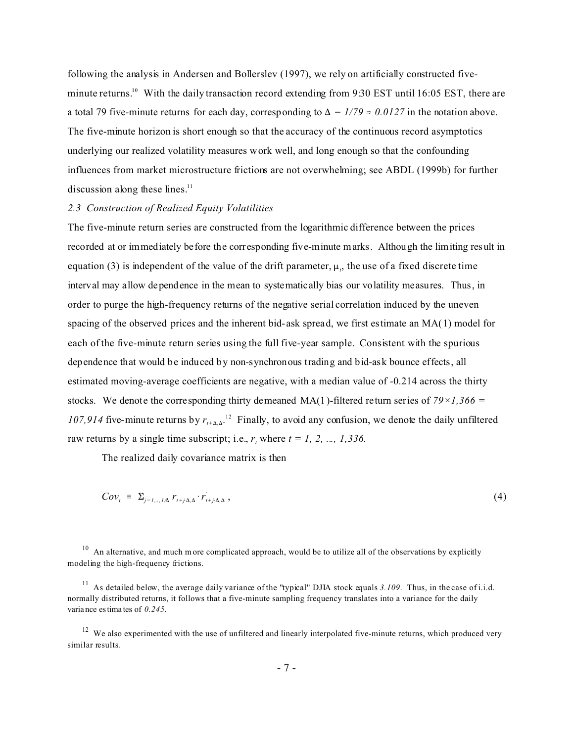following the analysis in Andersen and Bollerslev (1997), we rely on artificially constructed fiveminute returns.<sup>10</sup> With the daily transaction record extending from 9:30 EST until 16:05 EST, there are a total 79 five-minute returns for each day, corresponding to  $\Delta = 1/79 \approx 0.0127$  in the notation above. The five-minute horizon is short enough so that the accuracy of the continuous record asymptotics underlying our realized volatility measures work well, and long enough so that the confounding influences from market microstructure frictions are not overwhelming; see ABDL (1999b) for further discussion along these lines. $<sup>11</sup>$ </sup>

## *2.3 Construction of Realized Equity Volatilities*

The five-minute return series are constructed from the logarithmic difference between the prices recorded at or immediately before the corresponding five-minute marks. Although the limiting result in equation (3) is independent of the value of the drift parameter,  $\mu_i$ , the use of a fixed discrete time interval may allow dependence in the mean to systematically bias our volatility measures. Thus, in order to purge the high-frequency returns of the negative serial correlation induced by the uneven spacing of the observed prices and the inherent bid-ask spread, we first estimate an MA(1) model for each of the five-minute return series using the full five-year sample. Consistent with the spurious dependence that would be induced by non-synchronous trading and bid-ask bounce effects, all estimated moving-average coefficients are negative, with a median value of -0.214 across the thirty stocks. We denote the corresponding thirty demeaned MA(1)-filtered return series of *79×1,366 =* 107,914 five-minute returns by  $r_{t+\Delta,\Delta}$ <sup>12</sup> Finally, to avoid any confusion, we denote the daily unfiltered raw returns by a single time subscript; i.e.,  $r<sub>t</sub>$  where  $t = 1, 2, ..., 1,336$ .

The realized daily covariance matrix is then

$$
Cov_t = \Sigma_{j=1,..,I/\Delta} r_{t+j\Delta,\Delta} \cdot r'_{t+j\Delta,\Delta}, \qquad (4)
$$

 $10$  An alternative, and much more complicated approach, would be to utilize all of the observations by explicitly modeling the high-frequency frictions.

<sup>&</sup>lt;sup>11</sup> As detailed below, the average daily variance of the "typical" DJIA stock equals  $3.109$ . Thus, in the case of i.i.d. normally distributed returns, it follows that a five-minute sampling frequency translates into a variance for the daily varia nce estima tes of *0.245*.

 $12$  We also experimented with the use of unfiltered and linearly interpolated five-minute returns, which produced very similar results.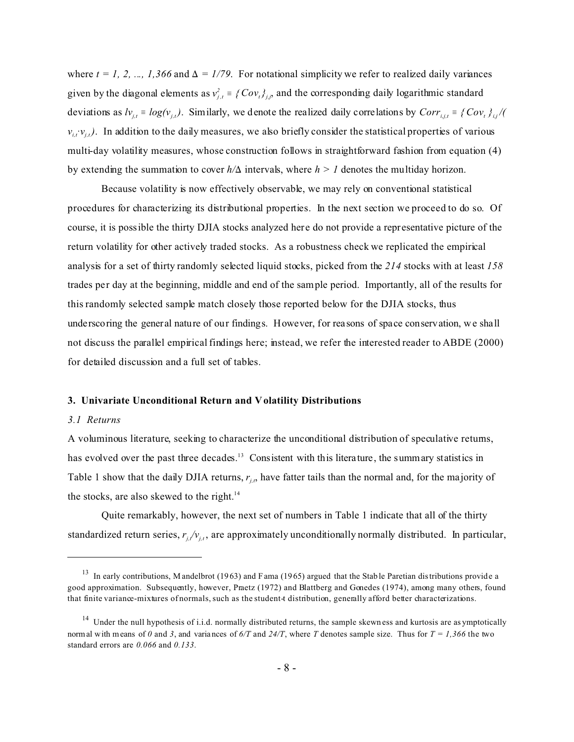where  $t = 1, 2, ..., 1,366$  and  $\Delta = 1/79$ . For notational simplicity we refer to realized daily variances given by the diagonal elements as  $v_{j,t}^2 = \{Cov_t\}_{j,t}$ , and the corresponding daily logarithmic standard deviations as  $lv_{i,t} = log(v_{i,t})$ . Similarly, we denote the realized daily correlations by  $Corr_{i,i,t} = \{Cov_t\}_{i,j}/(n+1)$  $v_{i,t}$  $v_{i,t}$ ). In addition to the daily measures, we also briefly consider the statistical properties of various multi-day volatility measures, whose construction follows in straightforward fashion from equation (4) by extending the summation to cover  $h/\Delta$  intervals, where  $h > 1$  denotes the multiday horizon.

Because volatility is now effectively observable, we may rely on conventional statistical procedures for characterizing its distributional properties. In the next section we proceed to do so. Of course, it is possible the thirty DJIA stocks analyzed here do not provide a representative picture of the return volatility for other actively traded stocks. As a robustness check we replicated the empirical analysis for a set of thirty randomly selected liquid stocks, picked from the *214* stocks with at least *158* trades per day at the beginning, middle and end of the sample period. Importantly, all of the results for this randomly selected sample match closely those reported below for the DJIA stocks, thus underscoring the general nature of our findings. However, for reasons of space conservation, we shall not discuss the parallel empirical findings here; instead, we refer the interested reader to ABDE (2000) for detailed discussion and a full set of tables.

#### **3. Univariate Unconditional Return and Volatility Distributions**

#### *3.1 Returns*

A voluminous literature, seeking to characterize the unconditional distribution of speculative returns, has evolved over the past three decades.<sup>13</sup> Consistent with this literature, the summary statistics in Table 1 show that the daily DJIA returns,  $r_{i,t}$ , have fatter tails than the normal and, for the majority of the stocks, are also skewed to the right. $14$ 

Quite remarkably, however, the next set of numbers in Table 1 indicate that all of the thirty standardized return series,  $r_i/\nu_i$ , are approximately unconditionally normally distributed. In particular,

<sup>&</sup>lt;sup>13</sup> In early contributions, M andelbrot (1963) and F ama (1965) argued that the Stab le Paretian distributions provide a good approximation. Subsequently, however, Praetz (1972) and Blattberg and Gonedes (1974), among many others, found that finite variance-mixtures of normals, such as the student-t distribution, generally afford better characterizations.

<sup>&</sup>lt;sup>14</sup> Under the null hypothesis of i.i.d. normally distributed returns, the sample skewn ess and kurtosis are as ymptotically normal with means of  $\theta$  and  $\theta$ , and variances of  $\theta/T$  and  $\theta/2/T$ , where  $T$  denotes sample size. Thus for  $T = 1,366$  the two standard errors are *0.066* and *0.133*.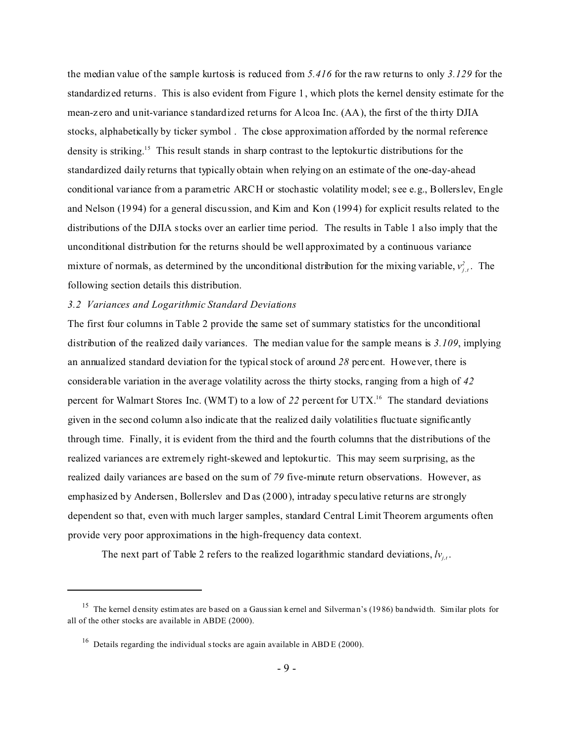the median value of the sample kurtosis is reduced from *5.416* for the raw returns to only *3.129* for the standardized returns. This is also evident from Figure 1, which plots the kernel density estimate for the mean-z ero and unit-variance standardized returns for Alcoa Inc. (AA), the first of the thirty DJIA stocks, alphabetically by ticker symbol . The close approximation afforded by the normal reference density is striking.<sup>15</sup> This result stands in sharp contrast to the leptokurtic distributions for the standardized daily returns that typically obtain when relying on an estimate of the one-day-ahead conditional variance from a parametric ARCH or stochastic volatility model; see e.g., Bollerslev, Engle and Nelson (1994) for a general discussion, and Kim and Kon (1994) for explicit results related to the distributions of the DJIA stocks over an earlier time period. The results in Table 1 also imply that the unconditional distribution for the returns should be well approximated by a continuous variance mixture of normals, as determined by the unconditional distribution for the mixing variable,  $v_{j,t}^2$ . The following section details this distribution.

#### *3.2 Variances and Logarithmic Standard Deviations*

The first four columns in Table 2 provide the same set of summary statistics for the unconditional distribution of the realized daily variances. The median value for the sample means is *3.109*, implying an annualized standard deviation for the typical stock of around *28* percent. However, there is considerable variation in the average volatility across the thirty stocks, ranging from a high of *42* percent for Walmart Stores Inc. (WMT) to a low of 22 percent for UTX.<sup>16</sup> The standard deviations given in the second column also indicate that the realized daily volatilities fluctuate significantly through time. Finally, it is evident from the third and the fourth columns that the distributions of the realized variances are extremely right-skewed and leptokurtic. This may seem surprising, as the realized daily variances are based on the sum of *79* five-minute return observations. However, as emphasized by Andersen, Bollerslev and Das (2000), intraday speculative returns are strongly dependent so that, even with much larger samples, standard Central Limit Theorem arguments often provide very poor approximations in the high-frequency data context.

The next part of Table 2 refers to the realized logarithmic standard deviations,  $lv_{ij}$ .

<sup>&</sup>lt;sup>15</sup> The kernel density estimates are based on a Gaussian k ernel and Silverman's (1986) bandwid th. Similar plots for all of the other stocks are available in ABDE (2000).

<sup>&</sup>lt;sup>16</sup> Details regarding the individual stocks are again available in ABD E (2000).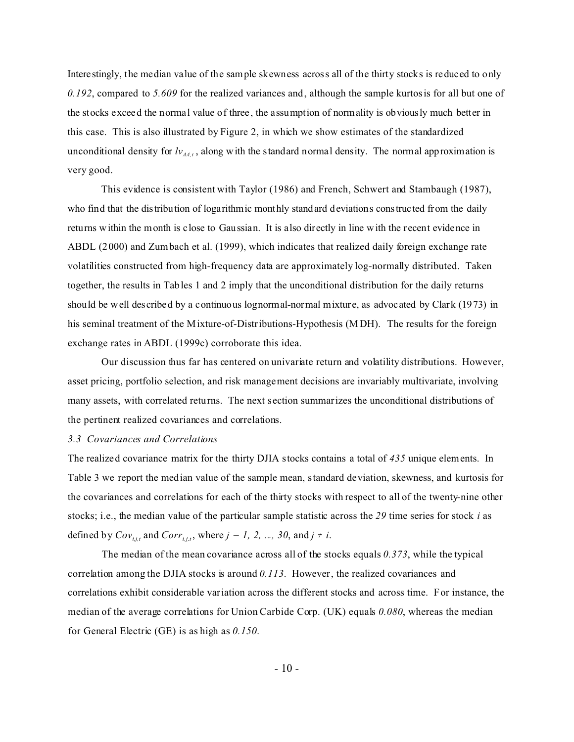Interestingly, the median value of the sample skewness across all of the thirty stocks is reduced to only *0.192*, compared to *5.609* for the realized variances and, although the sample kurtosis for all but one of the stocks exceed the normal value of three, the assumption of normality is obviously much better in this case. This is also illustrated by Figure 2, in which we show estimates of the standardized unconditional density for  $lv_{\mathcal{A}}$ , along with the standard normal density. The normal approximation is very good.

This evidence is consistent with Taylor (1986) and French, Schwert and Stambaugh (1987), who find that the distribution of logarithmic monthly standard deviations constructed from the daily returns within the month is close to Gaussian. It is also directly in line with the recent evidence in ABDL (2000) and Zumbach et al. (1999), which indicates that realized daily foreign exchange rate volatilities constructed from high-frequency data are approximately log-normally distributed. Taken together, the results in Tables 1 and 2 imply that the unconditional distribution for the daily returns should be well described by a continuous lognormal-normal mixture, as advocated by Clark (1973) in his seminal treatment of the Mixture-of-Distributions-Hypothesis (MDH). The results for the foreign exchange rates in ABDL (1999c) corroborate this idea.

Our discussion thus far has centered on univariate return and volatility distributions. However, asset pricing, portfolio selection, and risk management decisions are invariably multivariate, involving many assets, with correlated returns. The next section summarizes the unconditional distributions of the pertinent realized covariances and correlations.

## *3.3 Covariances and Correlations*

The realized covariance matrix for the thirty DJIA stocks contains a total of *435* unique elements. In Table 3 we report the median value of the sample mean, standard deviation, skewness, and kurtosis for the covariances and correlations for each of the thirty stocks with respect to all of the twenty-nine other stocks; i.e., the median value of the particular sample statistic across the *29* time series for stock *i* as defined by  $Cov_{i,i,t}$  and  $Corr_{i,j,t}$ , where  $j = 1, 2, ..., 30$ , and  $j \neq i$ .

The median of the mean covariance across all of the stocks equals *0.373*, while the typical correlation among the DJIA stocks is around *0.113*. However, the realized covariances and correlations exhibit considerable variation across the different stocks and across time. For instance, the median of the average correlations for Union Carbide Corp. (UK) equals *0.080*, whereas the median for General Electric (GE) is as high as *0.150*.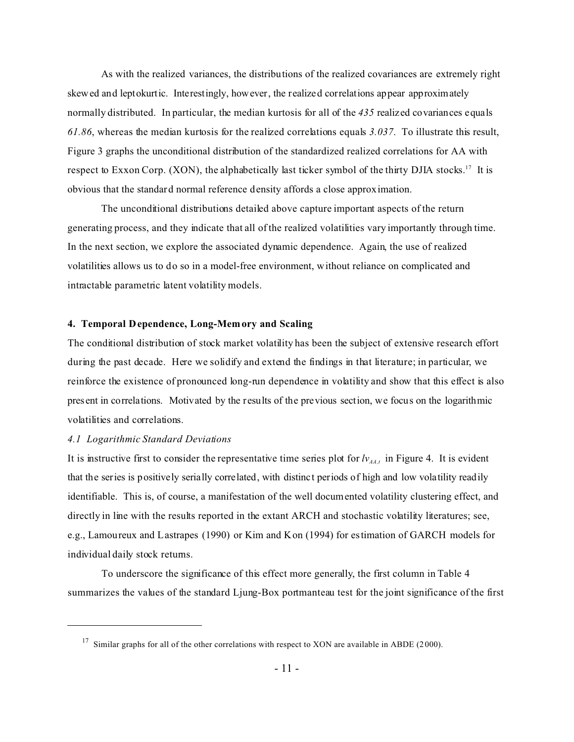As with the realized variances, the distributions of the realized covariances are extremely right skewed and leptokurtic. Interestingly, however, the realized correlations appear approximately normally distributed. In particular, the median kurtosis for all of the *435* realized covariances equals *61.86*, whereas the median kurtosis for the realized correlations equals *3.037*. To illustrate this result, Figure 3 graphs the unconditional distribution of the standardized realized correlations for AA with respect to Exxon Corp. (XON), the alphabetically last ticker symbol of the thirty DJIA stocks.<sup>17</sup> It is obvious that the standard normal reference density affords a close approximation.

The unconditional distributions detailed above capture important aspects of the return generating process, and they indicate that all of the realized volatilities vary importantly through time. In the next section, we explore the associated dynamic dependence. Again, the use of realized volatilities allows us to do so in a model-free environment, without reliance on complicated and intractable parametric latent volatility models.

## **4. Temporal Dependence, Long-Memory and Scaling**

The conditional distribution of stock market volatility has been the subject of extensive research effort during the past decade. Here we solidify and extend the findings in that literature; in particular, we reinforce the existence of pronounced long-run dependence in volatility and show that this effect is also pres ent in correlations. Motivated by the results of the previous section, we focus on the logarithmic volatilities and correlations.

#### *4.1 Logarithmic Standard Deviations*

It is instructive first to consider the representative time series plot for  $lv_{AA,t}$  in Figure 4. It is evident that the series is positively serially correlated, with distinct periods of high and low volatility readily identifiable. This is, of course, a manifestation of the well documented volatility clustering effect, and directly in line with the results reported in the extant ARCH and stochastic volatility literatures; see, e.g., Lamoureux and Lastrapes (1990) or Kim and Kon (1994) for estimation of GARCH models for individual daily stock returns.

To underscore the significance of this effect more generally, the first column in Table 4 summarizes the values of the standard Ljung-Box portmanteau test for the joint significance of the first

 $17$  Similar graphs for all of the other correlations with respect to XON are available in ABDE (2000).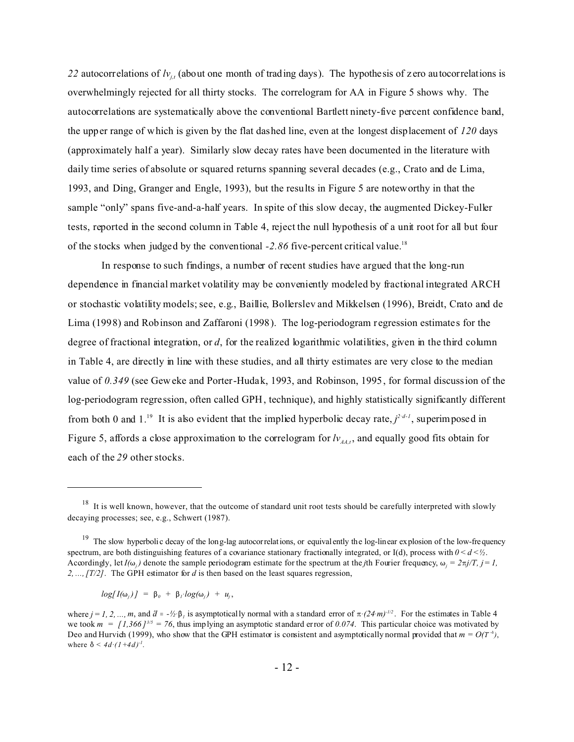22 autocorrelations of  $lv_{i,t}$  (about one month of trading days). The hypothesis of z ero autocorrelations is overwhelmingly rejected for all thirty stocks. The correlogram for AA in Figure 5 shows why. The autocorrelations are systematically above the conventional Bartlett ninety-five percent confidence band, the upper range of which is given by the flat dashed line, even at the longest displacement of *120* days (approximately half a year). Similarly slow decay rates have been documented in the literature with daily time series of absolute or squared returns spanning several decades (e.g., Crato and de Lima, 1993, and Ding, Granger and Engle, 1993), but the results in Figure 5 are noteworthy in that the sample "only" spans five-and-a-half years. In spite of this slow decay, the augmented Dickey-Fuller tests, reported in the second column in Table 4, reject the null hypothesis of a unit root for all but four of the stocks when judged by the conventional *-2.86* five-percent critical value.<sup>18</sup>

In response to such findings, a number of recent studies have argued that the long-run dependence in financial market volatility may be conveniently modeled by fractional integrated ARCH or stochastic volatility models; see, e.g., Baillie, Bollerslev and Mikkelsen (1996), Breidt, Crato and de Lima (1998) and Robinson and Zaffaroni (1998). The log-periodogram regression estimates for the degree of fractional integration, or *d*, for the realized logarithmic volatilities, given in the third column in Table 4, are directly in line with these studies, and all thirty estimates are very close to the median value of *0.349* (see Geweke and Porter-Hudak, 1993, and Robinson, 1995, for formal discussion of the log-periodogram regression, often called GPH, technique), and highly statistically significantly different from both 0 and  $1^{19}$ . It is also evident that the implied hyperbolic decay rate,  $j^{2d-1}$ , superimposed in Figure 5, affords a close approximation to the correlogram for  $lv_{AA}$ , and equally good fits obtain for each of the *29* other stocks.

 $18$  It is well known, however, that the outcome of standard unit root tests should be carefully interpreted with slowly decaying processes; see, e.g., Schwert (1987).

<sup>&</sup>lt;sup>19</sup> The slow hyperbolic decay of the long-lag autocorrelations, or equival ently the log-linear explosion of the low-frequency spectrum, are both distinguishing features of a covariance stationary fractionally integrated, or I(d), process with *0< d<½*. Accordingly, let  $I(\omega_j)$  denote the sample periodogram estimate for the spectrum at the *j*th Fourier frequency,  $\omega_j = 2\pi j/T$ ,  $j = 1$ , *2, ...,[T/2]*. The GPH estimator for *d* is then based on the least squares regression,

 $log[I(\omega_j)] = \beta_0 + \beta_1 log(\omega_j) + u_j$ 

where  $j = 1, 2, ..., m$ , and  $d \equiv -\frac{1}{2} \cdot \beta_j$  is asymptotically normal with a standard error of  $\pi \cdot (24 \cdot m)^{-1/2}$ . For the estimates in Table 4 we took  $m = \{1,366\}^{3/5} = 76$ , thus implying an asymptotic standard error of 0.074. This particular choice was motivated by Deo and Hurvich (1999), who show that the GPH estimator is consistent and asymptotically normal provided that  $m = O(T^{-\delta})$ , where  $\delta < 4d \cdot (1+4d)^{-1}$ .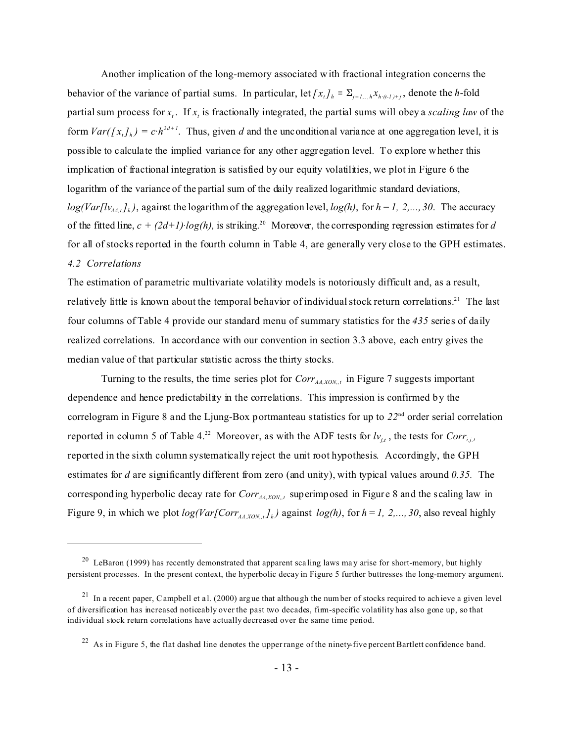Another implication of the long-memory associated with fractional integration concerns the behavior of the variance of partial sums. In particular, let  $\left[ x_t \right]_h \equiv \sum_{i=1...h} x_{h \cdot (t-1)+i}$ , denote the *h*-fold partial sum process for  $x_t$ . If  $x_t$  is fractionally integrated, the partial sums will obey a *scaling law* of the form  $Var([x_t]_h) = c \cdot h^{2d+1}$ . Thus, given *d* and the unconditional variance at one aggregation level, it is possible to calculate the implied variance for any other aggregation level. To explore whether this implication of fractional integration is satisfied by our equity volatilities, we plot in Figure 6 the logarithm of the variance of the partial sum of the daily realized logarithmic standard deviations,  $log(Var[*V*<sub>A</sub>,*I*<sub>h</sub>)$ , against the logarithm of the aggregation level,  $log(h)$ , for  $h = 1, 2,..., 30$ . The accuracy of the fitted line,  $c + (2d+1)$ *log(h)*, is striking.<sup>20</sup> Moreover, the corresponding regression estimates for *d* for all of stocks reported in the fourth column in Table 4, are generally very close to the GPH estimates. *4.2 Correlations*

The estimation of parametric multivariate volatility models is notoriously difficult and, as a result, relatively little is known about the temporal behavior of individual stock return correlations.<sup>21</sup> The last four columns of Table 4 provide our standard menu of summary statistics for the *435* series of daily realized correlations. In accordance with our convention in section 3.3 above, each entry gives the median value of that particular statistic across the thirty stocks.

Turning to the results, the time series plot for  $Corr_{AA,XON,t}$  in Figure 7 suggests important dependence and hence predictability in the correlations. This impression is confirmed by the correlogram in Figure 8 and the Ljung-Box portmanteau statistics for up to 22<sup>nd</sup> order serial correlation reported in column 5 of Table 4.<sup>22</sup> Moreover, as with the ADF tests for  $lv_{i,t}$ , the tests for  $Corr_{i,t}$ reported in the sixth column systematically reject the unit root hypothesis. Accordingly, the GPH estimates for *d* are significantly different from zero (and unity), with typical values around *0.35.* The corresponding hyperbolic decay rate for  $Corr_{AA,XON,t}$  superimposed in Figure 8 and the scaling law in Figure 9, in which we plot  $log(Var[Corr_{A A, XON, t}]_h)$  against  $log(h)$ , for  $h = 1, 2,..., 30$ , also reveal highly

<sup>&</sup>lt;sup>20</sup> LeBaron (1999) has recently demonstrated that apparent scaling laws may arise for short-memory, but highly persistent processes. In the present context, the hyperbolic decay in Figure 5 further buttresses the long-memory argument.

 $21$  In a recent paper, Campbell et al. (2000) argue that although the number of stocks required to achieve a given level of diversification has increased noticeably over the past two decades, firm-specific volatility has also gone up, so that individual stock return correlations have actually decreased over the same time period.

 $^{22}$  As in Figure 5, the flat dashed line denotes the upper range of the ninety-five percent Bartlett confidence band.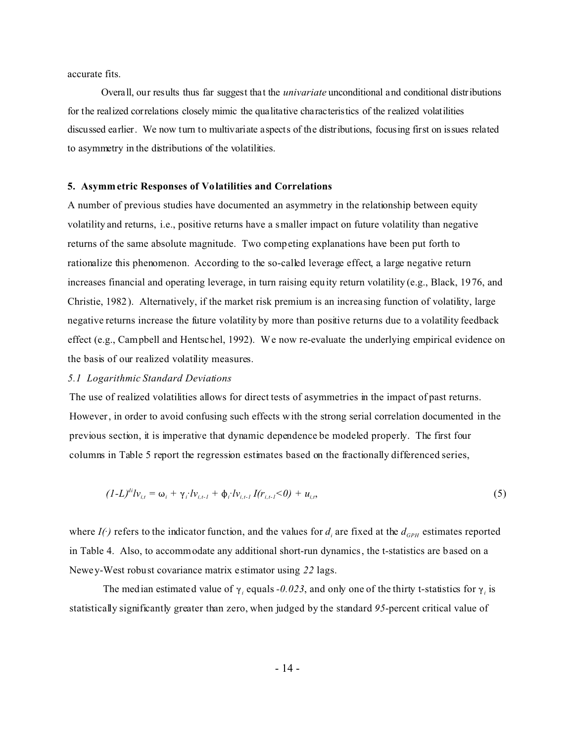accurate fits.

Overall, our results thus far suggest that the *univariate* unconditional and conditional distributions for the realized correlations closely mimic the qualitative characteristics of the realized volatilities discussed earlier. We now turn to multivariate aspects of the distributions, focusing first on issues related to asymmetry in the distributions of the volatilities.

#### **5. Asymm etric Responses of Volatilities and Correlations**

A number of previous studies have documented an asymmetry in the relationship between equity volatility and returns, i.e., positive returns have a smaller impact on future volatility than negative returns of the same absolute magnitude. Two competing explanations have been put forth to rationalize this phenomenon. According to the so-called leverage effect, a large negative return increases financial and operating leverage, in turn raising equity return volatility (e.g., Black, 1976, and Christie, 1982). Alternatively, if the market risk premium is an increasing function of volatility, large negative returns increase the future volatility by more than positive returns due to a volatility feedback effect (e.g., Campbell and Hentschel, 1992). We now re-evaluate the underlying empirical evidence on the basis of our realized volatility measures.

#### *5.1 Logarithmic Standard Deviations*

The use of realized volatilities allows for direct tests of asymmetries in the impact of past returns. However, in order to avoid confusing such effects with the strong serial correlation documented in the previous section, it is imperative that dynamic dependence be modeled properly. The first four columns in Table 5 report the regression estimates based on the fractionally differenced series,

$$
(1-L)^{ii}W_{i,t} = \omega_i + \gamma_i \cdot W_{i,t-1} + \phi_i \cdot W_{i,t-1} I(r_{i,t-1} < 0) + u_{i,t},
$$
\n(5)

where  $I(\cdot)$  refers to the indicator function, and the values for  $d_i$  are fixed at the  $d_{GPH}$  estimates reported in Table 4. Also, to accommodate any additional short-run dynamics, the t-statistics are based on a Newey-West robust covariance matrix estimator using *22* lags.

The median estimated value of  $\gamma$  equals *-0.023*, and only one of the thirty t-statistics for  $\gamma$  is statistically significantly greater than zero, when judged by the standard *95*-percent critical value of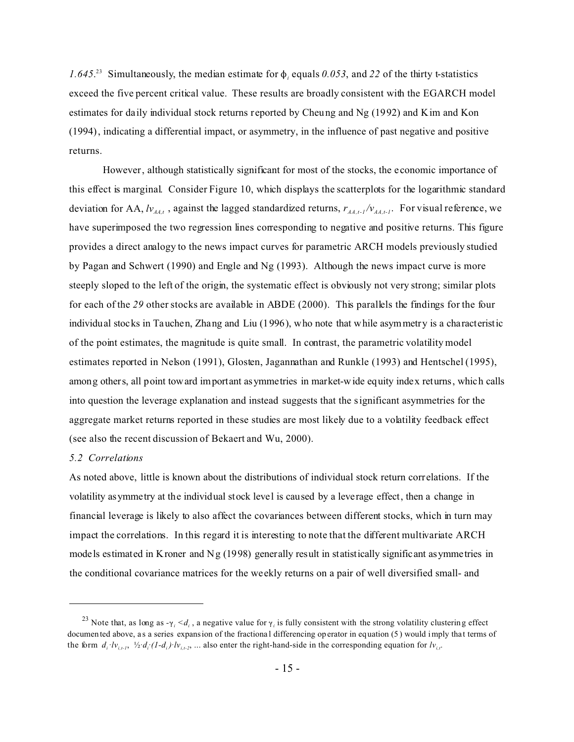*1.645*<sup>23</sup> Simultaneously, the median estimate for  $\phi$ <sub>*i*</sub> equals *0.053*, and 22 of the thirty t-statistics exceed the five percent critical value. These results are broadly consistent with the EGARCH model estimates for daily individual stock returns reported by Cheung and Ng (1992) and Kim and Kon (1994), indicating a differential impact, or asymmetry, in the influence of past negative and positive returns.

However, although statistically significant for most of the stocks, the economic importance of this effect is marginal. Consider Figure 10, which displays the scatterplots for the logarithmic standard deviation for AA,  $lv_{A\mu}$ , against the lagged standardized returns,  $r_{A\mu}$ ,  $/v_{A\mu}$ . For visual reference, we have superimposed the two regression lines corresponding to negative and positive returns. This figure provides a direct analogy to the news impact curves for parametric ARCH models previously studied by Pagan and Schwert (1990) and Engle and Ng (1993). Although the news impact curve is more steeply sloped to the left of the origin, the systematic effect is obviously not very strong; similar plots for each of the *29* other stocks are available in ABDE (2000). This parallels the findings for the four individual stocks in Tauchen, Zhang and Liu (1996), who note that while asymmetry is a characteristic of the point estimates, the magnitude is quite small. In contrast, the parametric volatility model estimates reported in Nelson (1991), Glosten, Jagannathan and Runkle (1993) and Hentschel (1995), among others, all point toward important asymmetries in market-wide equity index returns, which calls into question the leverage explanation and instead suggests that the significant asymmetries for the aggregate market returns reported in these studies are most likely due to a volatility feedback effect (see also the recent discussion of Bekaert and Wu, 2000).

# *5.2 Correlations*

As noted above, little is known about the distributions of individual stock return correlations. If the volatility asymmetry at the individual stock level is caused by a leverage effect, then a change in financial leverage is likely to also affect the covariances between different stocks, which in turn may impact the correlations. In this regard it is interesting to note that the different multivariate ARCH models estimated in Kroner and Ng (1998) generally result in statistically significant asymmetries in the conditional covariance matrices for the weekly returns on a pair of well diversified small- and

<sup>&</sup>lt;sup>23</sup> Note that, as long as  $-\gamma_i \le d_i$ , a negative value for  $\gamma_i$  is fully consistent with the strong volatility clustering effect documen ted above, as a series expansion of the fractional differencing operator in equation (5) would imply that terms of the form  $d_i \, V_{i,i+1}$ ,  $V_2 \, d_i \, (1-d_i) \, V_{i,i+2}$ , ... also enter the right-hand-side in the corresponding equation for  $l_{i,i}$ .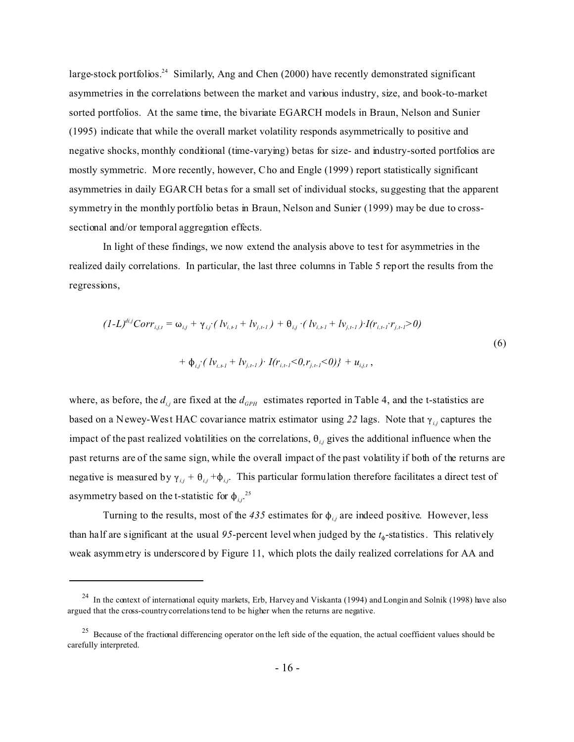large-stock portfolios.<sup>24</sup> Similarly, Ang and Chen (2000) have recently demonstrated significant asymmetries in the correlations between the market and various industry, size, and book-to-market sorted portfolios. At the same time, the bivariate EGARCH models in Braun, Nelson and Sunier (1995) indicate that while the overall market volatility responds asymmetrically to positive and negative shocks, monthly conditional (time-varying) betas for size- and industry-sorted portfolios are mostly symmetric. More recently, however, Cho and Engle (1999) report statistically significant asymmetries in daily EGARCH betas for a small set of individual stocks, suggesting that the apparent symmetry in the monthly portfolio betas in Braun, Nelson and Sunier (1999) may be due to crosssectional and/or temporal aggregation effects.

In light of these findings, we now extend the analysis above to test for asymmetries in the realized daily correlations. In particular, the last three columns in Table 5 report the results from the regressions,

$$
(1-L)^{di_j}Corr_{i,j,t} = \omega_{i,j} + \gamma_{i,j'}(lv_{i,t} + lv_{j,t-1}) + \theta_{i,j'}(lv_{i,t-1} + lv_{j,t-1}) \cdot I(r_{i,t-1} \cdot r_{j,t-1} > 0)
$$
  
+  $\phi_{i,j'}(lv_{i,t-1} + lv_{j,t-1}) \cdot I(r_{i,t-1} < 0, r_{j,t-1} < 0) + u_{i,j,t}$ , (6)

where, as before, the  $d_{i,j}$  are fixed at the  $d_{GPH}$  estimates reported in Table 4, and the t-statistics are based on a Newey-West HAC covariance matrix estimator using 22 lags. Note that  $\gamma_{i,j}$  captures the impact of the past realized volatilities on the correlations,  $\theta_i$  gives the additional influence when the past returns are of the same sign, while the overall impact of the past volatility if both of the returns are negative is measured by  $\gamma_{i,j} + \theta_{i,j} + \phi_{i,j}$ . This particular formulation therefore facilitates a direct test of asymmetry based on the t-statistic for  $\phi_{i,j}$ .<sup>25</sup>

Turning to the results, most of the 435 estimates for  $\phi$ <sub>*ij*</sub> are indeed positive. However, less than half are significant at the usual 95-percent level when judged by the  $t_{\phi}$ -statistics. This relatively weak asymmetry is underscored by Figure 11, which plots the daily realized correlations for AA and

 $24$  In the context of international equity markets, Erb, Harvey and Viskanta (1994) and Longin and Solnik (1998) have also argued that the cross-country correlations tend to be higher when the returns are negative.

 $25$  Because of the fractional differencing operator on the left side of the equation, the actual coefficient values should be carefully interpreted.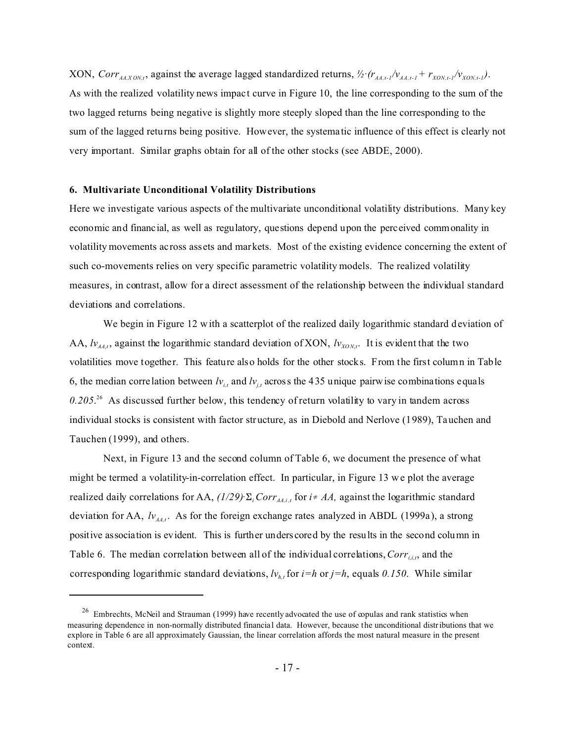XON, *Corr*<sub>*AA,XON,t*</sub>, against the average lagged standardized returns,  $\frac{1}{2}$ <sup>*(r<sub>AA,t-1</sub>/v<sub>AA,t-1</sub> + r<sub>XON,t-1</sub>/v<sub><i>XON,t-1*</sub>).</sup> As with the realized volatility news impact curve in Figure 10, the line corresponding to the sum of the two lagged returns being negative is slightly more steeply sloped than the line corresponding to the sum of the lagged returns being positive. However, the systematic influence of this effect is clearly not very important. Similar graphs obtain for all of the other stocks (see ABDE, 2000).

#### **6. Multivariate Unconditional Volatility Distributions**

Here we investigate various aspects of the multivariate unconditional volatility distributions. Many key economic and financial, as well as regulatory, questions depend upon the perceived commonality in volatility movements across assets and markets. Most of the existing evidence concerning the extent of such co-movements relies on very specific parametric volatility models. The realized volatility measures, in contrast, allow for a direct assessment of the relationship between the individual standard deviations and correlations.

We begin in Figure 12 with a scatterplot of the realized daily logarithmic standard deviation of AA,  $lv_{AA}$ , against the logarithmic standard deviation of XON,  $lv_{XON}$ . It is evident that the two volatilities move together. This feature also holds for the other stocks. From the first column in Table 6, the median correlation between  $lv_i$ , and  $lv_i$ , across the 435 unique pairwise combinations equals 0.205<sup>26</sup> As discussed further below, this tendency of return volatility to vary in tandem across individual stocks is consistent with factor structure, as in Diebold and Nerlove (1989), Tauchen and Tauchen (1999), and others.

Next, in Figure 13 and the second column of Table 6, we document the presence of what might be termed a volatility-in-correlation effect. In particular, in Figure 13 we plot the average realized daily correlations for AA,  $(1/29)$ <sup>*N*</sup><sub>*E*</sub>*Corr*<sub>*AA,i*</sub> for  $i \neq AA$ , against the logarithmic standard deviation for AA,  $lv_{\text{A}A}$ . As for the foreign exchange rates analyzed in ABDL (1999a), a strong positive association is evident. This is further unders cored by the results in the second column in Table 6. The median correlation between all of the individual correlations,  $Corr_{i,i}$ , and the corresponding logarithmic standard deviations,  $lv_{h,t}$  for  $i=h$  or  $j=h$ , equals 0.150. While similar

<sup>&</sup>lt;sup>26</sup> Embrechts, McNeil and Strauman (1999) have recently advocated the use of copulas and rank statistics when measuring dependence in non-normally distributed financia l data. However, because the unconditional distributions that we explore in Table 6 are all approximately Gaussian, the linear correlation affords the most natural measure in the present context.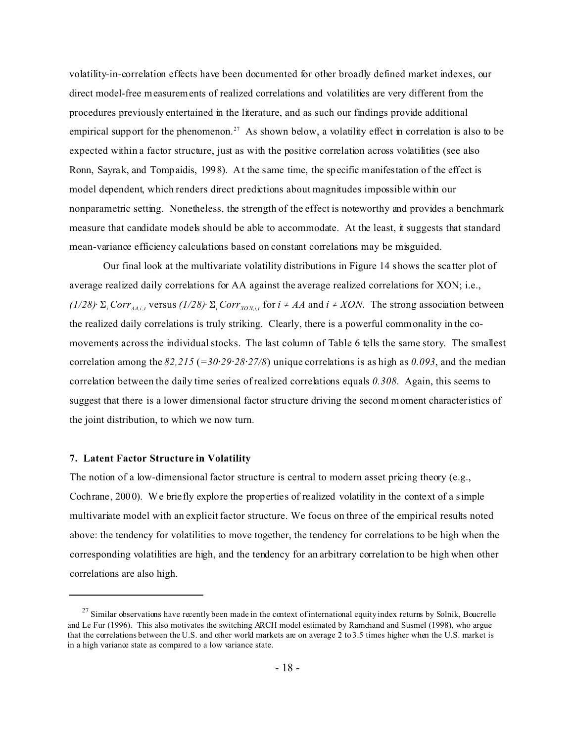volatility-in-correlation effects have been documented for other broadly defined market indexes, our direct model-free measurements of realized correlations and volatilities are very different from the procedures previously entertained in the literature, and as such our findings provide additional empirical support for the phenomenon.<sup>27</sup> As shown below, a volatility effect in correlation is also to be expected within a factor structure, just as with the positive correlation across volatilities (see also Ronn, Sayrak, and Tompaidis, 1998). At the same time, the specific manifestation of the effect is model dependent, which renders direct predictions about magnitudes impossible within our nonparametric setting. Nonetheless, the strength of the effect is noteworthy and provides a benchmark measure that candidate models should be able to accommodate. At the least, it suggests that standard mean-variance efficiency calculations based on constant correlations may be misguided.

Our final look at the multivariate volatility distributions in Figure 14 shows the scatter plot of average realized daily correlations for AA against the average realized correlations for XON; i.e.,  $(1/28)$ :  $\Sigma_i \text{Corr}_{A_{i,i}}$  versus  $(1/28)$ :  $\Sigma_i \text{Corr}_{XON_{i,i}}$  for  $i \neq AA$  and  $i \neq XON$ . The strong association between the realized daily correlations is truly striking. Clearly, there is a powerful commonality in the comovements across the individual stocks. The last column of Table 6 tells the same story. The smallest correlation among the  $82,215$  ( $=30.29.28.27/8$ ) unique correlations is as high as 0.093, and the median correlation between the daily time series of realized correlations equals *0.308*. Again, this seems to suggest that there is a lower dimensional factor structure driving the second moment characteristics of the joint distribution, to which we now turn.

#### **7. Latent Factor Structure in Volatility**

The notion of a low-dimensional factor structure is central to modern asset pricing theory (e.g., Cochrane, 2000). We briefly explore the properties of realized volatility in the context of a simple multivariate model with an explicit factor structure. We focus on three of the empirical results noted above: the tendency for volatilities to move together, the tendency for correlations to be high when the corresponding volatilities are high, and the tendency for an arbitrary correlation to be high when other correlations are also high.

 $27$  Similar observations have recently been made in the context of international equity index returns by Solnik, Boucrelle and Le Fur (1996). This also motivates the switching ARCH model estimated by Ramchand and Susmel (1998), who argue that the correlations between the U.S. and other world markets are on average 2 to 3.5 times higher when the U.S. market is in a high variance state as compared to a low variance state.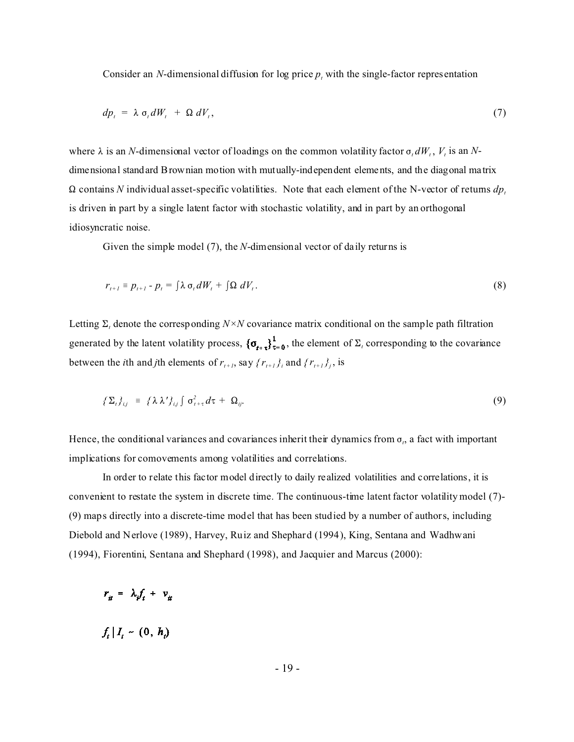Consider an *N*-dimensional diffusion for log price  $p<sub>t</sub>$  with the single-factor representation

$$
dp_t = \lambda \sigma_t dW_t + \Omega dV_t, \qquad (7)
$$

where  $\lambda$  is an *N*-dimensional vector of loadings on the common volatility factor  $\sigma_t dW_t$ ,  $V_t$  is an *N*dimensional standard Brownian motion with mutually-independent elements, and the diagonal matrix  $\Omega$  contains *N* individual asset-specific volatilities. Note that each element of the N-vector of returns  $dp$ , is driven in part by a single latent factor with stochastic volatility, and in part by an orthogonal idiosyncratic noise.

Given the simple model (7), the *N*-dimensional vector of daily returns is

$$
r_{t+1} \equiv p_{t+1} - p_t = \int \lambda \sigma_t dW_t + \int \Omega dV_t. \tag{8}
$$

Letting  $\Sigma$ , denote the corresponding  $N \times N$  covariance matrix conditional on the sample path filtration generated by the latent volatility process,  $\{\sigma_{t+1}\}_{t=0}^1$ , the element of  $\Sigma_t$  corresponding to the covariance between the *i*th and *j*th elements of  $r_{t+1}$ , say  $\{r_{t+1}\}\}$  and  $\{r_{t+1}\}\}$ , is

$$
\{\Sigma_t\}_{i,j} = \{\lambda \lambda'\}_{i,j} \int \sigma_{t+\tau}^2 d\tau + \Omega_{ij}.
$$
\n(9)

Hence, the conditional variances and covariances inherit their dynamics from  $\sigma_t$ , a fact with important implications for comovements among volatilities and correlations.

In order to relate this factor model directly to daily realized volatilities and correlations, it is convenient to restate the system in discrete time. The continuous-time latent factor volatility model (7)- (9) maps directly into a discrete-time model that has been studied by a number of authors, including Diebold and Nerlove (1989), Harvey, Ruiz and Shephard (1994), King, Sentana and Wadhwani (1994), Fiorentini, Sentana and Shephard (1998), and Jacquier and Marcus (2000):

$$
r_{it} = \lambda_i f_t + v_{it}
$$

 $f_t | I_t \sim (0, h_t)$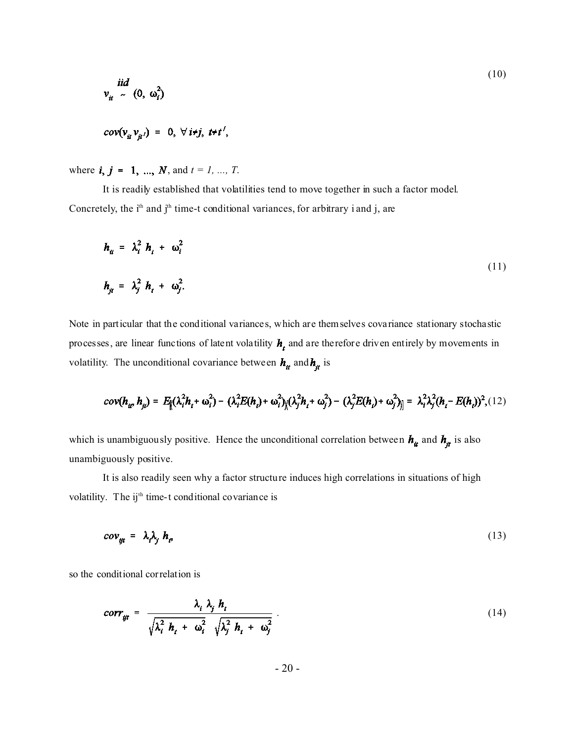$$
vi_d \frac{iid}{r} \sim (0, \omega_i^2)
$$

$$
cov(v_{it}v_{it'}) = 0, \forall i \neq j, t \neq t',
$$

where  $i, j = 1, ..., N$ , and  $t = 1, ..., T$ .

It is readily established that volatilities tend to move together in such a factor model. Concretely, the  $i<sup>th</sup>$  and  $j<sup>th</sup>$  time-t conditional variances, for arbitrary i and j, are

$$
h_{it} = \lambda_i^2 h_t + \omega_i^2
$$
  

$$
h_{jt} = \lambda_j^2 h_t + \omega_j^2.
$$
 (11)

Note in particular that the conditional variances, which are themselves covariance stationary stochastic processes, are linear functions of latent volatility  $h_t$  and are therefore driven entirely by movements in volatility. The unconditional covariance between  $h_{it}$  and  $h_{it}$  is

$$
cov(h_{ir}, h_{jt}) = E_{\parallel}(\lambda_i^2 h_t + \omega_i^2) - (\lambda_i^2 E(h_t) + \omega_i^2)(\lambda_j^2 h_t + \omega_j^2) - (\lambda_j^2 E(h_t) + \omega_j^2) = \lambda_i^2 \lambda_j^2 (h_t - E(h_t))^2, \quad (12)
$$

which is unambiguously positive. Hence the unconditional correlation between  $h_{it}$  and  $h_{jt}$  is also unambiguously positive.

It is also readily seen why a factor structure induces high correlations in situations of high volatility. The ij<sup>th</sup> time-t conditional covariance is

$$
cov_{\hat{y}t} = \lambda_i \lambda_j h_p \tag{13}
$$

so the conditional correlation is

$$
corr_{ijt} = \frac{\lambda_i \lambda_j h_t}{\sqrt{\lambda_i^2 h_t + \omega_i^2} \sqrt{\lambda_j^2 h_t + \omega_j^2}} \tag{14}
$$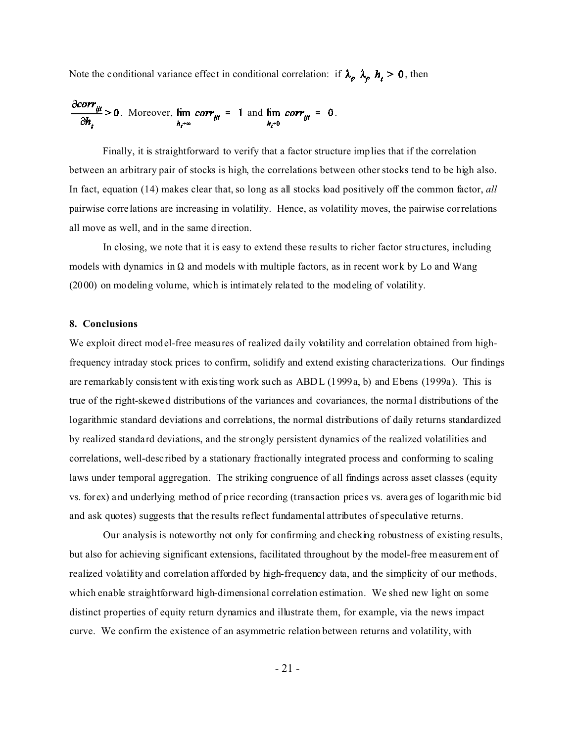Note the conditional variance effect in conditional correlation: if  $\lambda_i$ ,  $\lambda_j$ ,  $h_t > 0$ , then

$$
\frac{\partial corr_{ijt}}{\partial h_t} > 0.
$$
 Moreover,  $\lim_{h_t \to \infty} corr_{ijt} = 1$  and  $\lim_{h_t \to 0} corr_{ijt} = 0$ .

Finally, it is straightforward to verify that a factor structure implies that if the correlation between an arbitrary pair of stocks is high, the correlations between other stocks tend to be high also. In fact, equation (14) makes clear that, so long as all stocks load positively off the common factor, *all* pairwise correlations are increasing in volatility. Hence, as volatility moves, the pairwise correlations all move as well, and in the same direction.

In closing, we note that it is easy to extend these results to richer factor structures, including models with dynamics in  $\Omega$  and models with multiple factors, as in recent work by Lo and Wang (2000) on modeling volume, which is intimately related to the modeling of volatility.

## **8. Conclusions**

We exploit direct model-free measures of realized daily volatility and correlation obtained from highfrequency intraday stock prices to confirm, solidify and extend existing characterizations. Our findings are remarkably consistent with existing work such as ABDL (1999a, b) and Ebens (1999a). This is true of the right-skewed distributions of the variances and covariances, the normal distributions of the logarithmic standard deviations and correlations, the normal distributions of daily returns standardized by realized standard deviations, and the strongly persistent dynamics of the realized volatilities and correlations, well-described by a stationary fractionally integrated process and conforming to scaling laws under temporal aggregation. The striking congruence of all findings across asset classes (equity vs. forex) and underlying method of price recording (transaction prices vs. averages of logarithmic bid and ask quotes) suggests that the results reflect fundamental attributes of speculative returns.

Our analysis is noteworthy not only for confirming and checking robustness of existing results, but also for achieving significant extensions, facilitated throughout by the model-free measurement of realized volatility and correlation afforded by high-frequency data, and the simplicity of our methods, which enable straightforward high-dimensional correlation estimation. We shed new light on some distinct properties of equity return dynamics and illustrate them, for example, via the news impact curve. We confirm the existence of an asymmetric relation between returns and volatility, with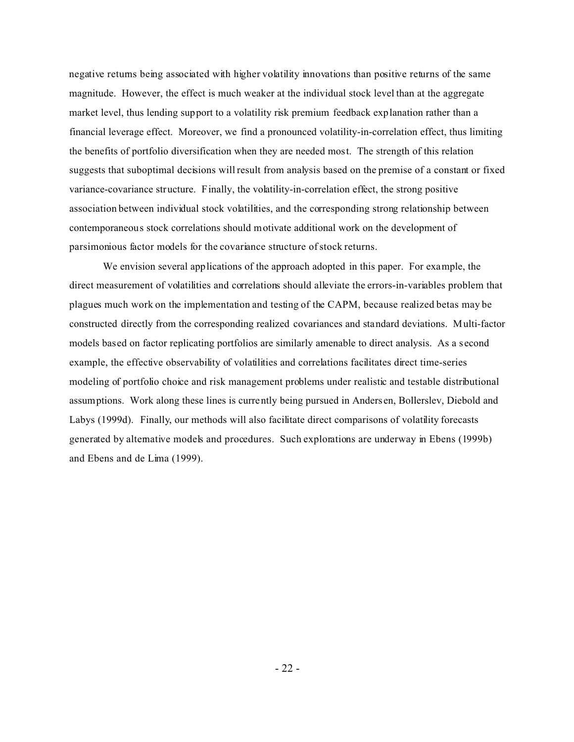negative returns being associated with higher volatility innovations than positive returns of the same magnitude. However, the effect is much weaker at the individual stock level than at the aggregate market level, thus lending support to a volatility risk premium feedback explanation rather than a financial leverage effect. Moreover, we find a pronounced volatility-in-correlation effect, thus limiting the benefits of portfolio diversification when they are needed most. The strength of this relation suggests that suboptimal decisions will result from analysis based on the premise of a constant or fixed variance-covariance structure. Finally, the volatility-in-correlation effect, the strong positive association between individual stock volatilities, and the corresponding strong relationship between contemporaneous stock correlations should motivate additional work on the development of parsimonious factor models for the covariance structure of stock returns.

We envision several applications of the approach adopted in this paper. For example, the direct measurement of volatilities and correlations should alleviate the errors-in-variables problem that plagues much work on the implementation and testing of the CAPM, because realized betas may be constructed directly from the corresponding realized covariances and standard deviations. Multi-factor models based on factor replicating portfolios are similarly amenable to direct analysis. As a second example, the effective observability of volatilities and correlations facilitates direct time-series modeling of portfolio choice and risk management problems under realistic and testable distributional assumptions. Work along these lines is currently being pursued in Anders en, Bollerslev, Diebold and Labys (1999d). Finally, our methods will also facilitate direct comparisons of volatility forecasts generated by alternative models and procedures. Such explorations are underway in Ebens (1999b) and Ebens and de Lima (1999).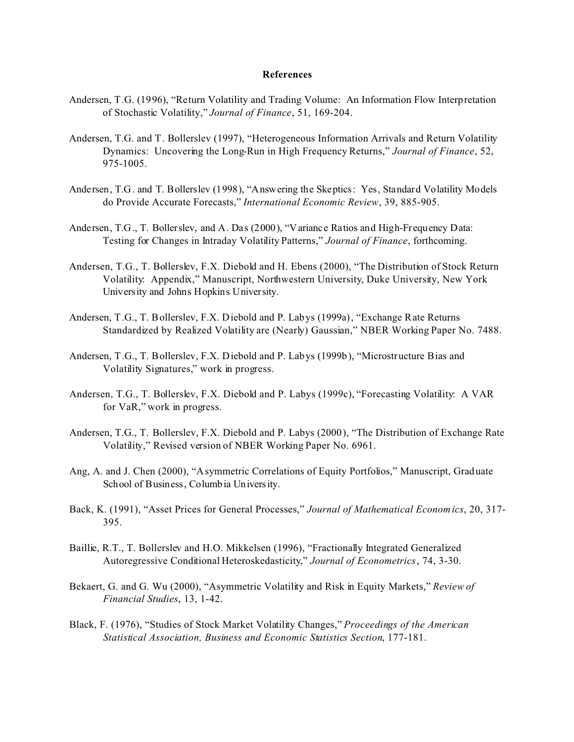#### **References**

- Andersen, T.G. (1996), "Return Volatility and Trading Volume: An Information Flow Interpretation of Stochastic Volatility," *Journal of Finance*, 51, 169-204.
- Andersen, T.G. and T. Bollerslev (1997), "Heterogeneous Information Arrivals and Return Volatility Dynamics: Uncovering the Long-Run in High Frequency Returns," *Journal of Finance*, 52, 975-1005.
- Andersen, T.G. and T. Bollerslev (1998), "Answering the Skeptics: Yes, Standard Volatility Models do Provide Accurate Forecasts," *International Economic Review*, 39, 885-905.
- Andersen, T.G., T. Bollerslev, and A. Das (2000), "Variance Ratios and High-Frequency Data: Testing for Changes in Intraday Volatility Patterns," *Journal of Finance*, forthcoming.
- Andersen, T.G., T. Bollerslev, F.X. Diebold and H. Ebens (2000), "The Distribution of Stock Return Volatility: Appendix," Manuscript, Northwestern University, Duke University, New York University and Johns Hopkins University.
- Andersen, T.G., T. Bollerslev, F.X. Diebold and P. Labys (1999a), "Exchange Rate Returns Standardized by Realized Volatility are (Nearly) Gaussian," NBER Working Paper No. 7488.
- Andersen, T.G., T. Bollerslev, F.X. Diebold and P. Labys (1999b), "Microstructure Bias and Volatility Signatures," work in progress.
- Andersen, T.G., T. Bollerslev, F.X. Diebold and P. Labys (1999c), "Forecasting Volatility: A VAR for VaR," work in progress.
- Andersen, T.G., T. Bollerslev, F.X. Diebold and P. Labys (2000), "The Distribution of Exchange Rate Volatility," Revised version of NBER Working Paper No. 6961.
- Ang, A. and J. Chen (2000), "Asymmetric Correlations of Equity Portfolios," Manuscript, Graduate School of Business, Columbia University.
- Back, K. (1991), "Asset Prices for General Processes," *Journal of Mathematical Economics*, 20, 317- 395.
- Baillie, R.T., T. Bollerslev and H.O. Mikkelsen (1996), "Fractionally Integrated Generalized Autoregressive Conditional Heteroskedasticity," *Journal of Econometrics*, 74, 3-30.
- Bekaert, G. and G. Wu (2000), "Asymmetric Volatility and Risk in Equity Markets," *Review of Financial Studies*, 13, 1-42.
- Black, F. (1976), "Studies of Stock Market Volatility Changes," *Proceedings of the American Statistical Association, Business and Economic Statistics Section*, 177-181.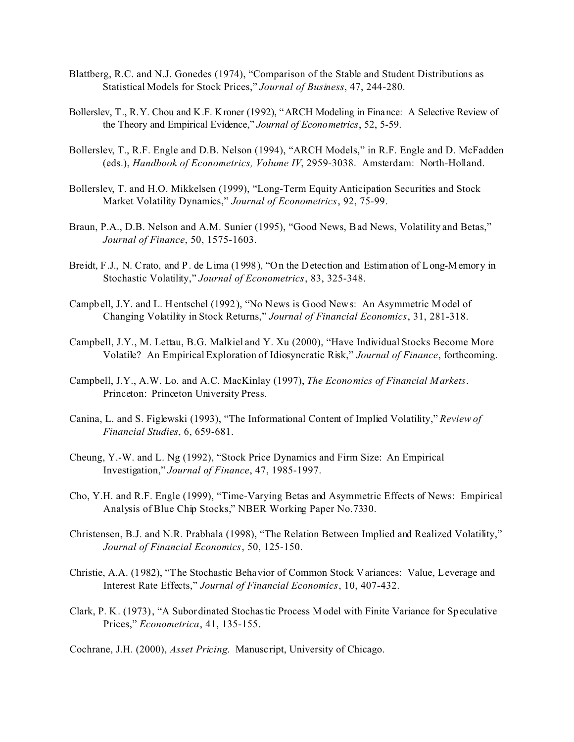- Blattberg, R.C. and N.J. Gonedes (1974), "Comparison of the Stable and Student Distributions as Statistical Models for Stock Prices," *Journal of Business*, 47, 244-280.
- Bollerslev, T., R.Y. Chou and K.F. Kroner (1992), "ARCH Modeling in Finance: A Selective Review of the Theory and Empirical Evidence," *Journal of Econometrics*, 52, 5-59.
- Bollerslev, T., R.F. Engle and D.B. Nelson (1994), "ARCH Models," in R.F. Engle and D. McFadden (eds.), *Handbook of Econometrics, Volume IV*, 2959-3038. Amsterdam: North-Holland.
- Bollerslev, T. and H.O. Mikkelsen (1999), "Long-Term Equity Anticipation Securities and Stock Market Volatility Dynamics," *Journal of Econometrics*, 92, 75-99.
- Braun, P.A., D.B. Nelson and A.M. Sunier (1995), "Good News, Bad News, Volatility and Betas," *Journal of Finance*, 50, 1575-1603.
- Breidt, F.J., N. Crato, and P. de Lima (1998), "On the Detection and Estimation of Long-Memory in Stochastic Volatility," *Journal of Econometrics*, 83, 325-348.
- Campbell, J.Y. and L. Hentschel (1992), "No News is Good News: An Asymmetric Model of Changing Volatility in Stock Returns," *Journal of Financial Economics*, 31, 281-318.
- Campbell, J.Y., M. Lettau, B.G. Malkiel and Y. Xu (2000), "Have Individual Stocks Become More Volatile? An Empirical Exploration of Idiosyncratic Risk," *Journal of Finance*, forthcoming.
- Campbell, J.Y., A.W. Lo. and A.C. MacKinlay (1997), *The Economics of Financial Markets*. Princeton: Princeton University Press.
- Canina, L. and S. Figlewski (1993), "The Informational Content of Implied Volatility," *Review of Financial Studies*, 6, 659-681.
- Cheung, Y.-W. and L. Ng (1992), "Stock Price Dynamics and Firm Size: An Empirical Investigation," *Journal of Finance*, 47, 1985-1997.
- Cho, Y.H. and R.F. Engle (1999), "Time-Varying Betas and Asymmetric Effects of News: Empirical Analysis of Blue Chip Stocks," NBER Working Paper No.7330.
- Christensen, B.J. and N.R. Prabhala (1998), "The Relation Between Implied and Realized Volatility," *Journal of Financial Economics*, 50, 125-150.
- Christie, A.A. (1982), "The Stochastic Behavior of Common Stock Variances: Value, Leverage and Interest Rate Effects," *Journal of Financial Economics*, 10, 407-432.
- Clark, P. K. (1973), "A Subordinated Stochastic Process Model with Finite Variance for Speculative Prices," *Econometrica*, 41, 135-155.

Cochrane, J.H. (2000), *Asset Pricing*. Manuscript, University of Chicago.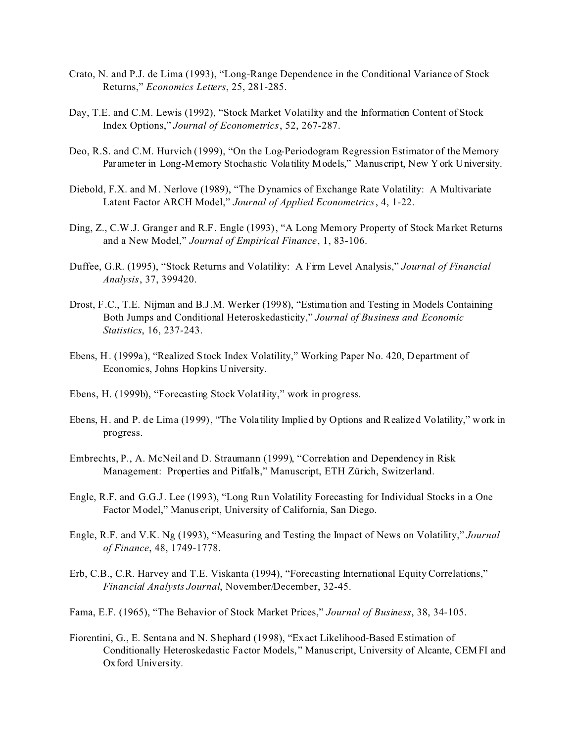- Crato, N. and P.J. de Lima (1993), "Long-Range Dependence in the Conditional Variance of Stock Returns," *Economics Letters*, 25, 281-285.
- Day, T.E. and C.M. Lewis (1992), "Stock Market Volatility and the Information Content of Stock Index Options," *Journal of Econometrics*, 52, 267-287.
- Deo, R.S. and C.M. Hurvich (1999), "On the Log-Periodogram Regression Estimator of the Memory Parameter in Long-Memory Stochastic Volatility Models," Manuscript, New York University.
- Diebold, F.X. and M. Nerlove (1989), "The Dynamics of Exchange Rate Volatility: A Multivariate Latent Factor ARCH Model," *Journal of Applied Econometrics*, 4, 1-22.
- Ding, Z., C.W.J. Granger and R.F. Engle (1993), "A Long Memory Property of Stock Market Returns and a New Model," *Journal of Empirical Finance*, 1, 83-106.
- Duffee, G.R. (1995), "Stock Returns and Volatility: A Firm Level Analysis," *Journal of Financial Analysis*, 37, 399420.
- Drost, F.C., T.E. Nijman and B.J.M. Werker (1998), "Estimation and Testing in Models Containing Both Jumps and Conditional Heteroskedasticity," *Journal of Business and Economic Statistics*, 16, 237-243.
- Ebens, H. (1999a), "Realized Stock Index Volatility," Working Paper No. 420, Department of Economics, Johns Hopkins University.
- Ebens, H. (1999b), "Forecasting Stock Volatility," work in progress.
- Ebens, H. and P. de Lima (1999), "The Volatility Implied by Options and Realized Volatility," work in progress.
- Embrechts, P., A. McNeil and D. Straumann (1999), "Correlation and Dependency in Risk Management: Properties and Pitfalls," Manuscript, ETH Zürich, Switzerland.
- Engle, R.F. and G.G.J. Lee (1993), "Long Run Volatility Forecasting for Individual Stocks in a One Factor Model," Manus cript, University of California, San Diego.
- Engle, R.F. and V.K. Ng (1993), "Measuring and Testing the Impact of News on Volatility," *Journal of Finance*, 48, 1749-1778.
- Erb, C.B., C.R. Harvey and T.E. Viskanta (1994), "Forecasting International Equity Correlations," *Financial Analysts Journal*, November/December, 32-45.
- Fama, E.F. (1965), "The Behavior of Stock Market Prices," *Journal of Business*, 38, 34-105.
- Fiorentini, G., E. Sentana and N. Shephard (1998), "Exact Likelihood-Based Estimation of Conditionally Heteroskedastic Factor Models," Manuscript, University of Alcante, CEMFI and Oxford University.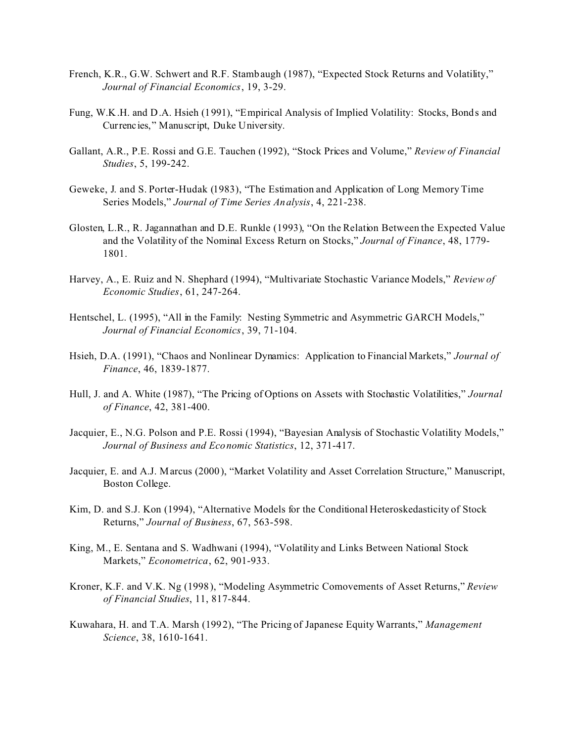- French, K.R., G.W. Schwert and R.F. Stambaugh (1987), "Expected Stock Returns and Volatility," *Journal of Financial Economics*, 19, 3-29.
- Fung, W.K.H. and D.A. Hsieh (1991), "Empirical Analysis of Implied Volatility: Stocks, Bonds and Currencies," Manuscript, Duke University.
- Gallant, A.R., P.E. Rossi and G.E. Tauchen (1992), "Stock Prices and Volume," *Review of Financial Studies*, 5, 199-242.
- Geweke, J. and S. Porter-Hudak (1983), "The Estimation and Application of Long Memory Time Series Models," *Journal of Time Series Analysis*, 4, 221-238.
- Glosten, L.R., R. Jagannathan and D.E. Runkle (1993), "On the Relation Between the Expected Value and the Volatility of the Nominal Excess Return on Stocks," *Journal of Finance*, 48, 1779- 1801.
- Harvey, A., E. Ruiz and N. Shephard (1994), "Multivariate Stochastic Variance Models," *Review of Economic Studies*, 61, 247-264.
- Hentschel, L. (1995), "All in the Family: Nesting Symmetric and Asymmetric GARCH Models," *Journal of Financial Economics*, 39, 71-104.
- Hsieh, D.A. (1991), "Chaos and Nonlinear Dynamics: Application to Financial Markets," *Journal of Finance*, 46, 1839-1877.
- Hull, J. and A. White (1987), "The Pricing of Options on Assets with Stochastic Volatilities," *Journal of Finance*, 42, 381-400.
- Jacquier, E., N.G. Polson and P.E. Rossi (1994), "Bayesian Analysis of Stochastic Volatility Models," *Journal of Business and Economic Statistics*, 12, 371-417.
- Jacquier, E. and A.J. Marcus (2000), "Market Volatility and Asset Correlation Structure," Manuscript, Boston College.
- Kim, D. and S.J. Kon (1994), "Alternative Models for the Conditional Heteroskedasticity of Stock Returns," *Journal of Business*, 67, 563-598.
- King, M., E. Sentana and S. Wadhwani (1994), "Volatility and Links Between National Stock Markets," *Econometrica*, 62, 901-933.
- Kroner, K.F. and V.K. Ng (1998), "Modeling Asymmetric Comovements of Asset Returns," *Review of Financial Studies*, 11, 817-844.
- Kuwahara, H. and T.A. Marsh (1992), "The Pricing of Japanese Equity Warrants," *Management Science*, 38, 1610-1641.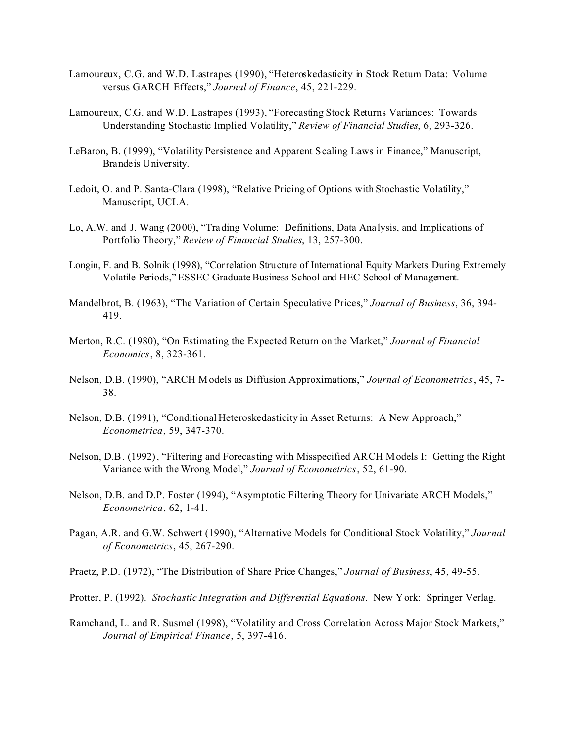- Lamoureux, C.G. and W.D. Lastrapes (1990), "Heteroskedasticity in Stock Return Data: Volume versus GARCH Effects," *Journal of Finance*, 45, 221-229.
- Lamoureux, C.G. and W.D. Lastrapes (1993), "Forecasting Stock Returns Variances: Towards Understanding Stochastic Implied Volatility," *Review of Financial Studies*, 6, 293-326.
- LeBaron, B. (1999), "Volatility Persistence and Apparent Scaling Laws in Finance," Manuscript, Brandeis University.
- Ledoit, O. and P. Santa-Clara (1998), "Relative Pricing of Options with Stochastic Volatility," Manuscript, UCLA.
- Lo, A.W. and J. Wang (2000), "Trading Volume: Definitions, Data Analysis, and Implications of Portfolio Theory," *Review of Financial Studies*, 13, 257-300.
- Longin, F. and B. Solnik (1998), "Correlation Structure of International Equity Markets During Extremely Volatile Periods," ESSEC Graduate Business School and HEC School of Management.
- Mandelbrot, B. (1963), "The Variation of Certain Speculative Prices," *Journal of Business*, 36, 394- 419.
- Merton, R.C. (1980), "On Estimating the Expected Return on the Market," *Journal of Financial Economics*, 8, 323-361.
- Nelson, D.B. (1990), "ARCH Models as Diffusion Approximations," *Journal of Econometrics*, 45, 7- 38.
- Nelson, D.B. (1991), "Conditional Heteroskedasticity in Asset Returns: A New Approach," *Econometrica*, 59, 347-370.
- Nelson, D.B. (1992), "Filtering and Forecasting with Misspecified ARCH Models I: Getting the Right Variance with the Wrong Model," *Journal of Econometrics*, 52, 61-90.
- Nelson, D.B. and D.P. Foster (1994), "Asymptotic Filtering Theory for Univariate ARCH Models," *Econometrica*, 62, 1-41.
- Pagan, A.R. and G.W. Schwert (1990), "Alternative Models for Conditional Stock Volatility," *Journal of Econometrics*, 45, 267-290.
- Praetz, P.D. (1972), "The Distribution of Share Price Changes," *Journal of Business*, 45, 49-55.
- Protter, P. (1992). *Stochastic Integration and Differential Equations*. New York: Springer Verlag.
- Ramchand, L. and R. Susmel (1998), "Volatility and Cross Correlation Across Major Stock Markets," *Journal of Empirical Finance*, 5, 397-416.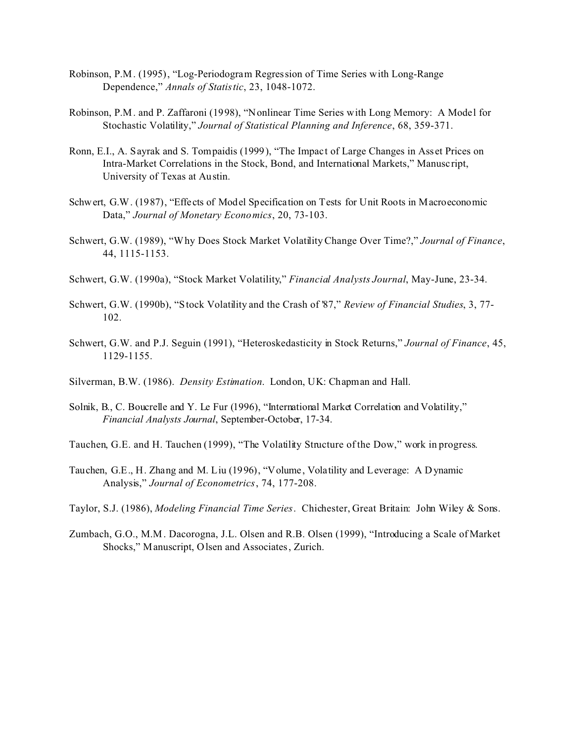- Robinson, P.M. (1995), "Log-Periodogram Regression of Time Series with Long-Range Dependence," *Annals of Statistic*, 23, 1048-1072.
- Robinson, P.M. and P. Zaffaroni (1998), "Nonlinear Time Series with Long Memory: A Model for Stochastic Volatility," *Journal of Statistical Planning and Inference*, 68, 359-371.
- Ronn, E.I., A. Sayrak and S. Tompaidis (1999), "The Impact of Large Changes in Asset Prices on Intra-Market Correlations in the Stock, Bond, and International Markets," Manuscript, University of Texas at Austin.
- Schwert, G.W. (1987), "Effects of Model Specification on Tests for Unit Roots in Macroeconomic Data," *Journal of Monetary Economics*, 20, 73-103.
- Schwert, G.W. (1989), "Why Does Stock Market Volatility Change Over Time?," *Journal of Finance*, 44, 1115-1153.
- Schwert, G.W. (1990a), "Stock Market Volatility," *Financial Analysts Journal*, May-June, 23-34.
- Schwert, G.W. (1990b), "Stock Volatility and the Crash of '87," *Review of Financial Studies*, 3, 77- 102.
- Schwert, G.W. and P.J. Seguin (1991), "Heteroskedasticity in Stock Returns," *Journal of Finance*, 45, 1129-1155.
- Silverman, B.W. (1986). *Density Estimation*. London, UK: Chapman and Hall.
- Solnik, B., C. Boucrelle and Y. Le Fur (1996), "International Market Correlation and Volatility," *Financial Analysts Journal*, September-October, 17-34.
- Tauchen, G.E. and H. Tauchen (1999), "The Volatility Structure of the Dow," work in progress.
- Tauchen, G.E., H. Zhang and M. Liu (1996), "Volume, Volatility and Leverage: A Dynamic Analysis," *Journal of Econometrics*, 74, 177-208.
- Taylor, S.J. (1986), *Modeling Financial Time Series*. Chichester, Great Britain: John Wiley & Sons.
- Zumbach, G.O., M.M. Dacorogna, J.L. Olsen and R.B. Olsen (1999), "Introducing a Scale of Market Shocks," Manuscript, Olsen and Associates, Zurich.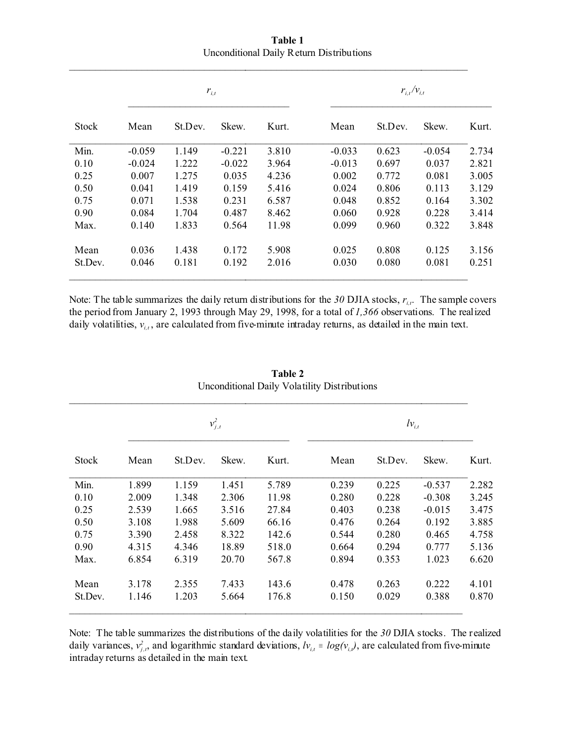| <b>Stock</b> |          | $r_{i,t}$ |          |       | $r_{i,t}/v_{i,t}$ |         |          |       |
|--------------|----------|-----------|----------|-------|-------------------|---------|----------|-------|
|              | Mean     | St.Dev.   | Skew.    | Kurt. | Mean              | St.Dev. | Skew.    | Kurt. |
| Min.         | $-0.059$ | 1.149     | $-0.221$ | 3.810 | $-0.033$          | 0.623   | $-0.054$ | 2.734 |
| 0.10         | $-0.024$ | 1.222     | $-0.022$ | 3.964 | $-0.013$          | 0.697   | 0.037    | 2.821 |
| 0.25         | 0.007    | 1.275     | 0.035    | 4.236 | 0.002             | 0.772   | 0.081    | 3.005 |
| 0.50         | 0.041    | 1.419     | 0.159    | 5.416 | 0.024             | 0.806   | 0.113    | 3.129 |
| 0.75         | 0.071    | 1.538     | 0.231    | 6.587 | 0.048             | 0.852   | 0.164    | 3.302 |
| 0.90         | 0.084    | 1.704     | 0.487    | 8.462 | 0.060             | 0.928   | 0.228    | 3.414 |
| Max.         | 0.140    | 1.833     | 0.564    | 11.98 | 0.099             | 0.960   | 0.322    | 3.848 |
| Mean         | 0.036    | 1.438     | 0.172    | 5.908 | 0.025             | 0.808   | 0.125    | 3.156 |
| St.Dev.      | 0.046    | 0.181     | 0.192    | 2.016 | 0.030             | 0.080   | 0.081    | 0.251 |

**Table 1** Unconditional Daily Return Distributions

Note: The table summarizes the daily return distributions for the 30 DJIA stocks,  $r_{i,t}$ . The sample covers the period from January 2, 1993 through May 29, 1998, for a total of *1,366* observations. The realized daily volatilities,  $v_{i,t}$ , are calculated from five-minute intraday returns, as detailed in the main text.

|              |       |         | $v_{j,t}^2$ |       |       |         |          |       |
|--------------|-------|---------|-------------|-------|-------|---------|----------|-------|
| <b>Stock</b> | Mean  | St.Dev. | Skew.       | Kurt. | Mean  | St.Dev. | Skew.    | Kurt. |
| Min.         | 1.899 | 1.159   | 1.451       | 5.789 | 0.239 | 0.225   | $-0.537$ | 2.282 |
| 0.10         | 2.009 | 1.348   | 2.306       | 11.98 | 0.280 | 0.228   | $-0.308$ | 3.245 |
| 0.25         | 2.539 | 1.665   | 3.516       | 27.84 | 0.403 | 0.238   | $-0.015$ | 3.475 |
| 0.50         | 3.108 | 1.988   | 5.609       | 66.16 | 0.476 | 0.264   | 0.192    | 3.885 |
| 0.75         | 3.390 | 2.458   | 8.322       | 142.6 | 0.544 | 0.280   | 0.465    | 4.758 |
| 0.90         | 4.315 | 4.346   | 18.89       | 518.0 | 0.664 | 0.294   | 0.777    | 5.136 |
| Max.         | 6.854 | 6.319   | 20.70       | 567.8 | 0.894 | 0.353   | 1.023    | 6.620 |
| Mean         | 3.178 | 2.355   | 7.433       | 143.6 | 0.478 | 0.263   | 0.222    | 4.101 |
| St.Dev.      | 1.146 | 1.203   | 5.664       | 176.8 | 0.150 | 0.029   | 0.388    | 0.870 |

**Table 2** Unconditional Daily Volatility Distributions

Note: The table summarizes the distributions of the daily volatilities for the *30* DJIA stocks. The realized daily variances,  $v_{j,t}^2$ , and logarithmic standard deviations,  $lv_{i,t} = log(v_{i,t})$ , are calculated from five-minute intraday returns as detailed in the main text.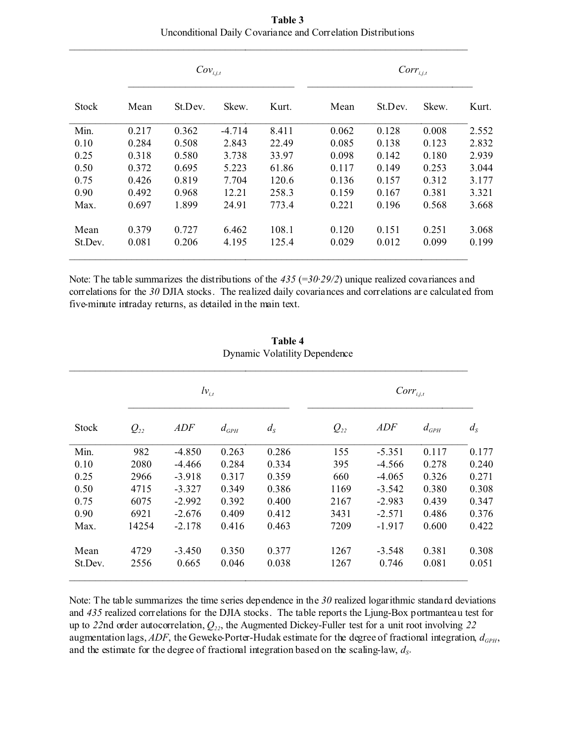| Table 3                                                      |
|--------------------------------------------------------------|
| Unconditional Daily Covariance and Correlation Distributions |

 $\_$  ,  $\_$  ,  $\_$  ,  $\_$  ,  $\_$  ,  $\_$  ,  $\_$  ,  $\_$  ,  $\_$  ,  $\_$  ,  $\_$  ,  $\_$  ,  $\_$  ,  $\_$  ,  $\_$  ,  $\_$  ,  $\_$  ,  $\_$  ,  $\_$  ,  $\_$  ,  $\_$  ,  $\_$  ,  $\_$  ,  $\_$  ,  $\_$  ,  $\_$  ,  $\_$  ,  $\_$  ,  $\_$  ,  $\_$  ,  $\_$  ,  $\_$  ,  $\_$  ,  $\_$  ,  $\_$  ,  $\_$  ,  $\_$  ,

|              |       | $Cov_{i,j,t}$ |          |       | $Corr_{i,j,t}$ |         |       |       |
|--------------|-------|---------------|----------|-------|----------------|---------|-------|-------|
| <b>Stock</b> | Mean  | St.Dev.       | Skew.    | Kurt. | Mean           | St.Dev. | Skew. | Kurt. |
| Min.         | 0.217 | 0.362         | $-4.714$ | 8.411 | 0.062          | 0.128   | 0.008 | 2.552 |
| 0.10         | 0.284 | 0.508         | 2.843    | 22.49 | 0.085          | 0.138   | 0.123 | 2.832 |
| 0.25         | 0.318 | 0.580         | 3.738    | 33.97 | 0.098          | 0.142   | 0.180 | 2.939 |
| 0.50         | 0.372 | 0.695         | 5.223    | 61.86 | 0.117          | 0.149   | 0.253 | 3.044 |
| 0.75         | 0.426 | 0.819         | 7.704    | 120.6 | 0.136          | 0.157   | 0.312 | 3.177 |
| 0.90         | 0.492 | 0.968         | 12.21    | 258.3 | 0.159          | 0.167   | 0.381 | 3.321 |
| Max.         | 0.697 | 1.899         | 24.91    | 773.4 | 0.221          | 0.196   | 0.568 | 3.668 |
| Mean         | 0.379 | 0.727         | 6.462    | 108.1 | 0.120          | 0.151   | 0.251 | 3.068 |
| St.Dev.      | 0.081 | 0.206         | 4.195    | 125.4 | 0.029          | 0.012   | 0.099 | 0.199 |

Note: The table summarizes the distributions of the  $435$  ( $=30.29/2$ ) unique realized covariances and correlations for the *30* DJIA stocks. The realized daily covariances and correlations are calculated from five-minute intraday returns, as detailed in the main text.

|              |          | $lv_{i,t}$ |                  |         | $Corr_{i,j,t}$ |            |           |         |
|--------------|----------|------------|------------------|---------|----------------|------------|-----------|---------|
| <b>Stock</b> | $Q_{22}$ | <b>ADF</b> | $d_{\emph{GPH}}$ | $d_{S}$ | $Q_{22}$       | <b>ADF</b> | $d_{GPH}$ | $d_{S}$ |
| Min.         | 982      | $-4.850$   | 0.263            | 0.286   | 155            | $-5.351$   | 0.117     | 0.177   |
| 0.10         | 2080     | -4.466     | 0.284            | 0.334   | 395            | $-4.566$   | 0.278     | 0.240   |
| 0.25         | 2966     | $-3.918$   | 0.317            | 0.359   | 660            | $-4.065$   | 0.326     | 0.271   |
| 0.50         | 4715     | $-3.327$   | 0.349            | 0.386   | 1169           | $-3.542$   | 0.380     | 0.308   |
| 0.75         | 6075     | $-2.992$   | 0.392            | 0.400   | 2167           | $-2.983$   | 0.439     | 0.347   |
| 0.90         | 6921     | $-2.676$   | 0.409            | 0.412   | 3431           | $-2.571$   | 0.486     | 0.376   |
| Max.         | 14254    | $-2.178$   | 0.416            | 0.463   | 7209           | $-1.917$   | 0.600     | 0.422   |
| Mean         | 4729     | $-3.450$   | 0.350            | 0.377   | 1267           | $-3.548$   | 0.381     | 0.308   |
| St.Dev.      | 2556     | 0.665      | 0.046            | 0.038   | 1267           | 0.746      | 0.081     | 0.051   |

# **Table 4** Dynamic Volatility Dependence

Note: The table summarizes the time series dependence in the 30 realized logarithmic standard deviations and *435* realized correlations for the DJIA stocks. The table reports the Ljung-Box portmanteau test for up to *22*nd order autocorrelation, *Q22*, the Augmented Dickey-Fuller test for a unit root involving *22* augmentation lags, *ADF*, the Geweke-Porter-Hudak estimate for the degree of fractional integration,  $d_{GPH}$ , and the estimate for the degree of fractional integration based on the scaling-law,  $d_s$ .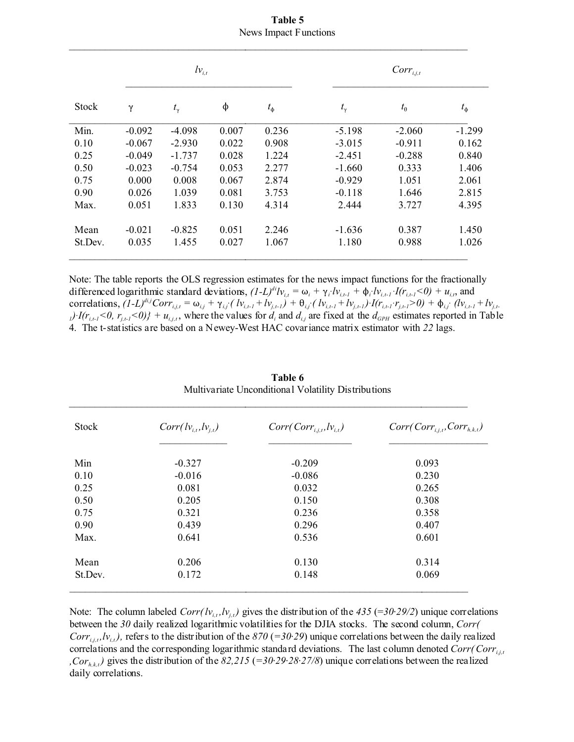|              |          | $lv_{i,t}$   |        |            | $Corr_{i,j,t}$ |              |            |
|--------------|----------|--------------|--------|------------|----------------|--------------|------------|
| <b>Stock</b> | γ        | $t_{\gamma}$ | $\phi$ | $t_{\phi}$ | $t_{\gamma}$   | $t_{\theta}$ | $t_{\phi}$ |
| Min.         | $-0.092$ | $-4.098$     | 0.007  | 0.236      | $-5.198$       | $-2.060$     | $-1.299$   |
| 0.10         | $-0.067$ | $-2.930$     | 0.022  | 0.908      | $-3.015$       | $-0.911$     | 0.162      |
| 0.25         | $-0.049$ | $-1.737$     | 0.028  | 1.224      | $-2.451$       | $-0.288$     | 0.840      |
| 0.50         | $-0.023$ | $-0.754$     | 0.053  | 2.277      | $-1.660$       | 0.333        | 1.406      |
| 0.75         | 0.000    | 0.008        | 0.067  | 2.874      | $-0.929$       | 1.051        | 2.061      |
| 0.90         | 0.026    | 1.039        | 0.081  | 3.753      | $-0.118$       | 1.646        | 2.815      |
| Max.         | 0.051    | 1.833        | 0.130  | 4.314      | 2.444          | 3.727        | 4.395      |
| Mean         | $-0.021$ | $-0.825$     | 0.051  | 2.246      | $-1.636$       | 0.387        | 1.450      |
| St.Dev.      | 0.035    | 1.455        | 0.027  | 1.067      | 1.180          | 0.988        | 1.026      |

**Table 5** News Impact Functions

Note: The table reports the OLS regression estimates for the news impact functions for the fractionally differenced logarithmic standard deviations,  $(I-L)^{di}V_{i,t} = \omega_i + \gamma_i l V_{i,t-1} + \phi_i l V_{i,t-1} l(r_{i,t-1} < 0) + u_{i,t}$ , and correlations,  $(1-L)^{di_j}Corr_{i,j,t} = \omega_{i,j} + \gamma_{i,j'}(lv_{i,t-1} + lv_{j,t-1}) + \theta_{i,j'}(lv_{i,t-1} +lv_{j,t-1}) \cdot I(r_{i,t-1} + r_{i,t-1} > 0) + \phi_{i,j'}(lv_{i,t-1} +lv_{i,t-1})$  $_1$ )  $I(r_{i,t-1} < 0, r_{i,t-1} < 0)$ } +  $u_{i,j,t}$ , where the values for  $d_i$  and  $d_{i,j}$  are fixed at the  $d_{GPH}$  estimates reported in Table 4. The t-statistics are based on a Newey-West HAC covariance matrix estimator with *22* lags.

| <b>Stock</b> | $Corr(lv_{i,t},lv_{i,t})$ | $Corr(Corr_{i,i,t},lv_{i,t})$ | $Corr(Corr_{i.i.t.}Corr_{h.k.t})$ |
|--------------|---------------------------|-------------------------------|-----------------------------------|
| Min          | $-0.327$                  | $-0.209$                      | 0.093                             |
| 0.10         | $-0.016$                  | $-0.086$                      | 0.230                             |
| 0.25         | 0.081                     | 0.032                         | 0.265                             |
| 0.50         | 0.205                     | 0.150                         | 0.308                             |
| 0.75         | 0.321                     | 0.236                         | 0.358                             |
| 0.90         | 0.439                     | 0.296                         | 0.407                             |
| Max.         | 0.641                     | 0.536                         | 0.601                             |
| Mean         | 0.206                     | 0.130                         | 0.314                             |
| St.Dev.      | 0.172                     | 0.148                         | 0.069                             |

**Table 6** Multivariate Unconditional Volatility Distributions

Note: The column labeled  $Corr(lv_{i,t},lv_{i,t})$  gives the distribution of the 435 (=30·29/2) unique correlations between the *30* daily realized logarithmic volatilities for the DJIA stocks. The second column, *Corr( Corr*<sub>iii</sub>,  $lv_i$ , refers to the distribution of the 870 (=30.29) unique correlations between the daily realized correlations and the corresponding logarithmic standard deviations. The last column denoted *Corr(Corr<sub>i,j</sub>*, *, Cor*<sub>h,kt</sub> gives the distribution of the 82,215 (=30·29·28·27/8) unique correlations between the realized daily correlations.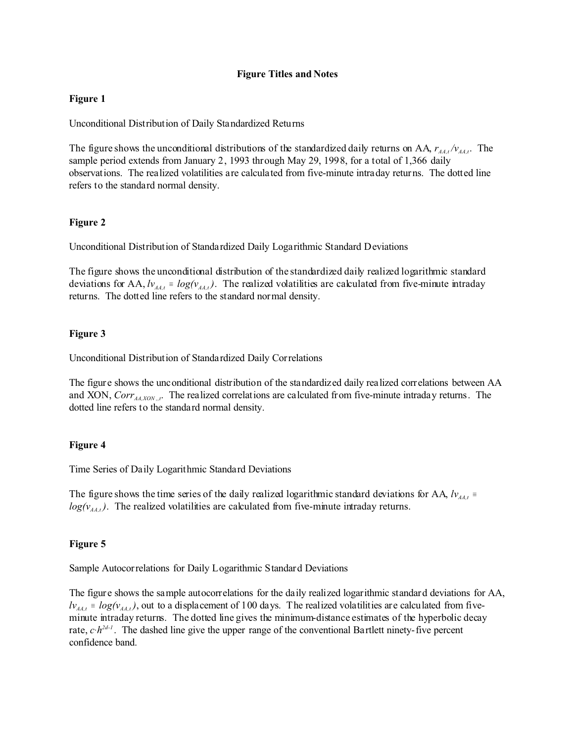## **Figure Titles and Notes**

## **Figure 1**

Unconditional Distribution of Daily Standardized Returns

The figure shows the unconditional distributions of the standardized daily returns on AA,  $r_{AA,t}/v_{AA,t}$ . The sample period extends from January 2, 1993 through May 29, 1998, for a total of 1,366 daily observations. The realized volatilities are calculated from five-minute intraday returns. The dotted line refers to the standard normal density.

## **Figure 2**

Unconditional Distribution of Standardized Daily Logarithmic Standard Deviations

The figure shows the unconditional distribution of the standardized daily realized logarithmic standard deviations for AA,  $lv_{A A,t} = log(v_{A A,t})$ . The realized volatilities are calculated from five-minute intraday returns. The dotted line refers to the standard normal density.

## **Figure 3**

Unconditional Distribution of Standardized Daily Correlations

The figure shows the unconditional distribution of the standardized daily realized correlations between AA and XON, *Corr<sub>AA,XON,,t*</sub>. The realized correlations are calculated from five-minute intraday returns. The dotted line refers to the standard normal density.

# **Figure 4**

Time Series of Daily Logarithmic Standard Deviations

The figure shows the time series of the daily realized logarithmic standard deviations for AA,  $lv_{A\mu}$  =  $log(v_{\text{A4},t})$ . The realized volatilities are calculated from five-minute intraday returns.

## **Figure 5**

Sample Autocorrelations for Daily Logarithmic Standard Deviations

The figure shows the sample autocorrelations for the daily realized logarithmic standard deviations for AA, *, out to a displacement of 100 days. The realized volatilities are calculated from five*minute intraday returns. The dotted line gives the minimum-distance estimates of the hyperbolic decay rate,  $c \cdot h^{2d-1}$ . The dashed line give the upper range of the conventional Bartlett ninety-five percent confidence band.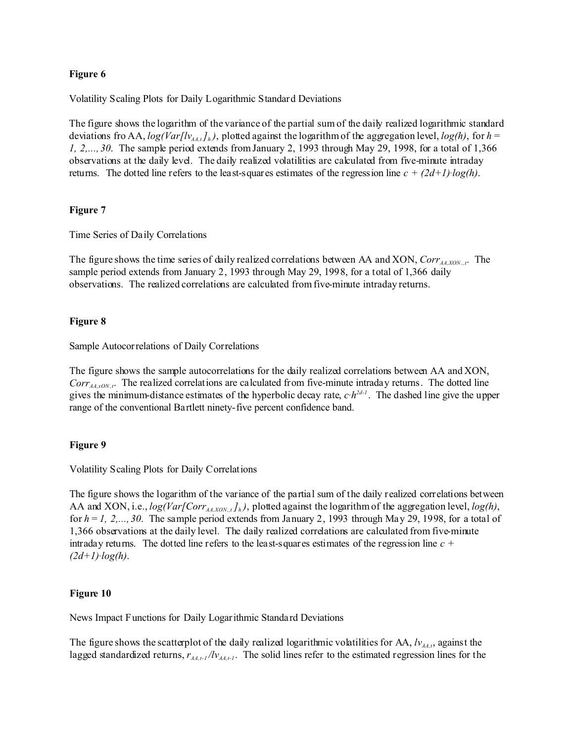# **Figure 6**

Volatility Scaling Plots for Daily Logarithmic Standard Deviations

The figure shows the logarithm of the variance of the partial sum of the daily realized logarithmic standard deviations fro AA,  $log(Var[1v_{A4,t}]_h)$ , plotted against the logarithm of the aggregation level,  $log(h)$ , for  $h=$ *1, 2,..., 30*. The sample period extends from January 2, 1993 through May 29, 1998, for a total of 1,366 observations at the daily level. The daily realized volatilities are calculated from five-minute intraday returns. The dotted line refers to the least-squares estimates of the regression line  $c + (2d+1) \cdot log(h)$ .

# **Figure 7**

Time Series of Daily Correlations

The figure shows the time series of daily realized correlations between AA and XON, *CorrAA,XON ,,t*. The sample period extends from January 2, 1993 through May 29, 1998, for a total of 1,366 daily observations. The realized correlations are calculated from five-minute intraday returns.

# **Figure 8**

Sample Autocorrelations of Daily Correlations

The figure shows the sample autocorrelations for the daily realized correlations between AA and XON, *CorrAA,xON ,t*. The realized correlations are calculated from five-minute intraday returns. The dotted line gives the minimum-distance estimates of the hyperbolic decay rate,  $c \cdot h^{2d-1}$ . The dashed line give the upper range of the conventional Bartlett ninety-five percent confidence band.

# **Figure 9**

Volatility Scaling Plots for Daily Correlations

The figure shows the logarithm of the variance of the partial sum of the daily realized correlations between AA and XON, i.e.,  $log(Var[Corr_{AA,XON,t}]_h)$ , plotted against the logarithm of the aggregation level,  $log(h)$ , for  $h = 1, 2, \ldots, 30$ . The sample period extends from January 2, 1993 through May 29, 1998, for a total of 1,366 observations at the daily level. The daily realized correlations are calculated from five-minute intraday returns. The dotted line refers to the least-squares estimates of the regression line *c +*  $(2d+1)\cdot log(h)$ .

# **Figure 10**

News Impact Functions for Daily Logarithmic Standard Deviations

The figure shows the scatterplot of the daily realized logarithmic volatilities for AA,  $lv_{AA}$ , against the lagged standardized returns,  $r_{AA,t-1}$  */lv<sub>AA,t-1</sub>*. The solid lines refer to the estimated regression lines for the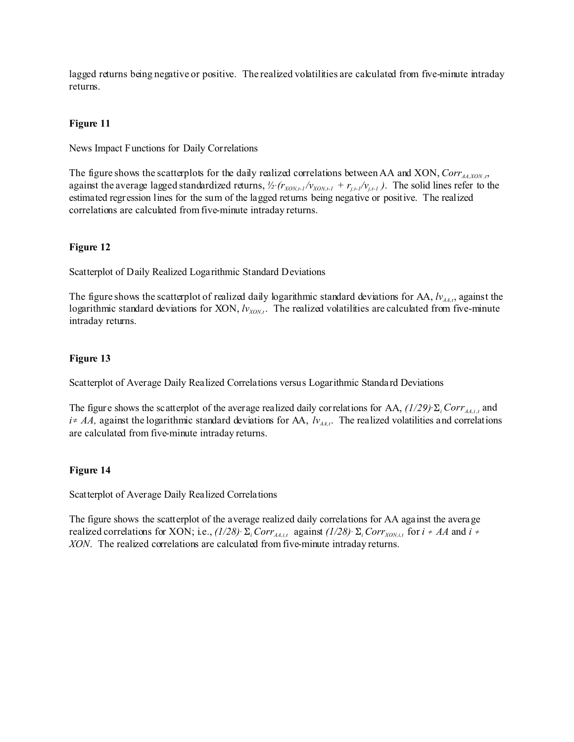lagged returns being negative or positive. The realized volatilities are calculated from five-minute intraday returns.

# **Figure 11**

News Impact Functions for Daily Correlations

The figure shows the scatterplots for the daily realized correlations between AA and XON, *Corr<sub>AA,XON</sub>*, against the average lagged standardized returns,  $\frac{1}{2}$ *(r<sub>XON,t-1</sub>/v<sub>XON,t-1</sub> + r<sub>j,t-1</sub>/v<sub>j,t-1</sub>)*. The solid lines refer to the estimated regression lines for the sum of the lagged returns being negative or positive. The realized correlations are calculated from five-minute intraday returns.

# **Figure 12**

Scatterplot of Daily Realized Logarithmic Standard Deviations

The figure shows the scatterplot of realized daily logarithmic standard deviations for AA,  $l_{\text{V}_{\text{A}}l}$ , against the logarithmic standard deviations for XON,  $lv_{XON,t}$ . The realized volatilities are calculated from five-minute intraday returns.

# **Figure 13**

Scatterplot of Average Daily Realized Correlations versus Logarithmic Standard Deviations

The figure shows the scatterplot of the average realized daily correlations for AA,  $(1/29)$ <sup>*N*</sup><sub>*E*</sub>*Corr*<sub>*AAi,i*</sub> and  $i \neq AA$ , against the logarithmic standard deviations for AA,  $lv_{AA,t}$ . The realized volatilities and correlations are calculated from five-minute intraday returns.

# **Figure 14**

Scatterplot of Average Daily Realized Correlations

The figure shows the scatterplot of the average realized daily correlations for AA against the average realized correlations for XON; i.e.,  $(1/28)$ <sup>*·*</sup>  $\Sigma_i$  *Corr*<sub>*AA,i,t*</sub> against  $(1/28)$ *·*  $\Sigma_i$  *Corr*<sub>*XON,i,t*</sub> for  $i \neq AA$  and  $i \neq$ *XON*. The realized correlations are calculated from five-minute intraday returns.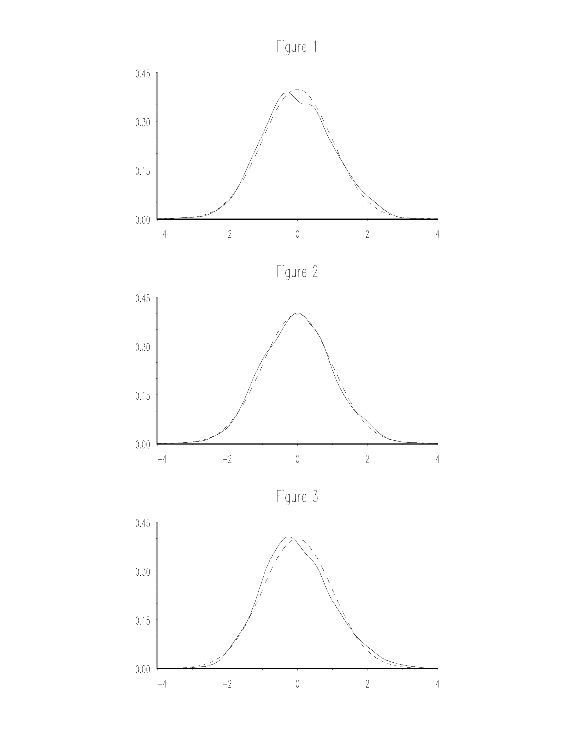





Figure 3

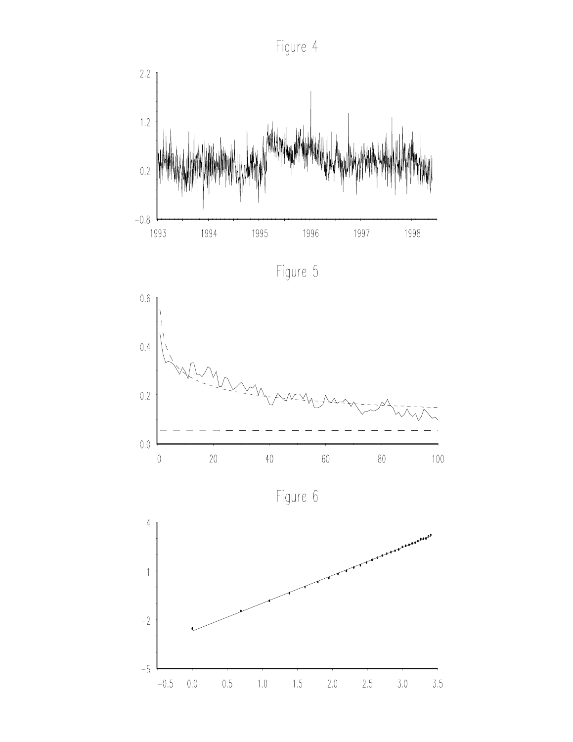

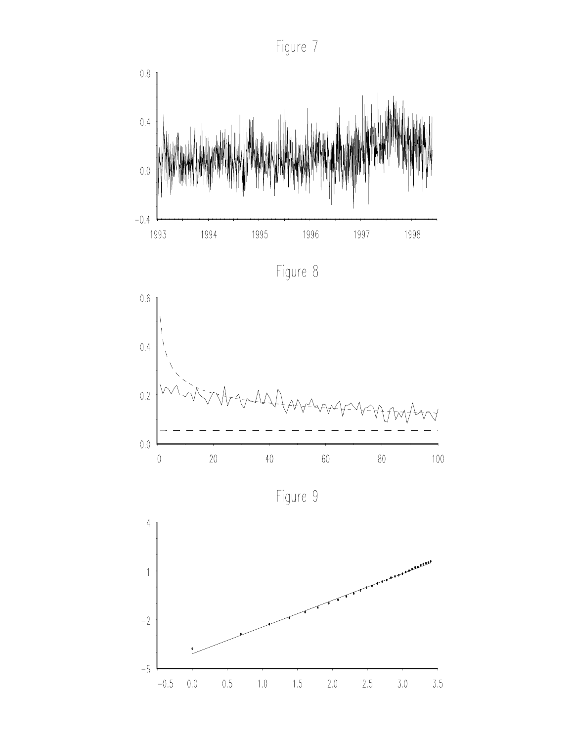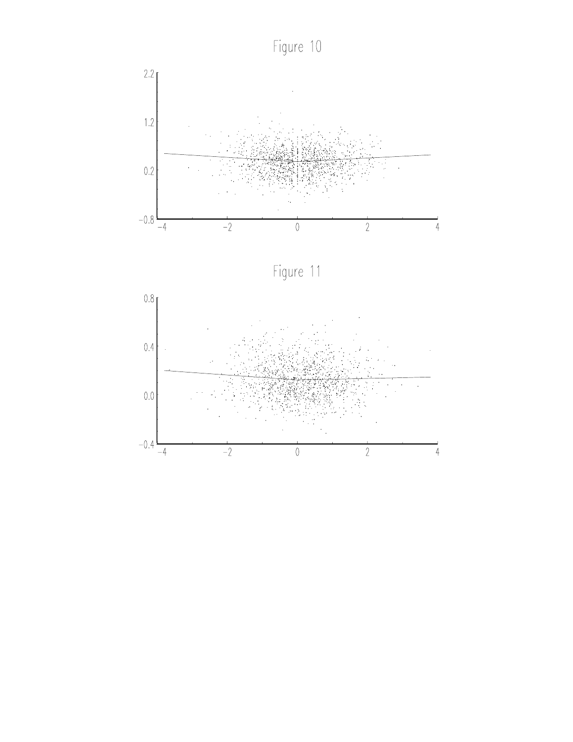

Figure 11